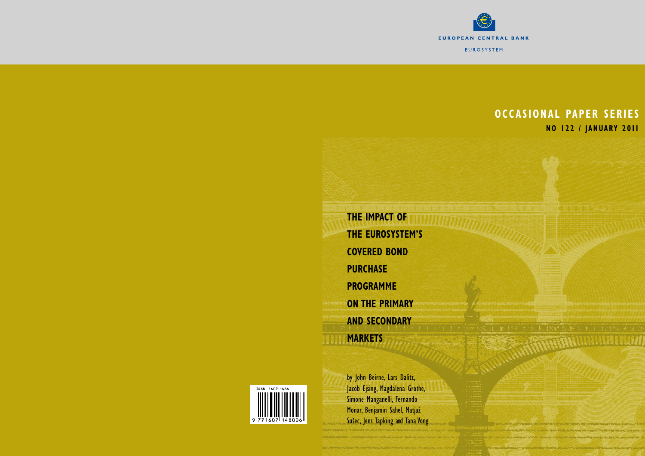

Williamann

# **Occasional Pa per series No 122 / january 2011**

**The impact of the eurosystem's covered bond purchase Programme on the primary and secondary Markets**

by John Beirne, Lars Dalitz, Jacob Ejsing, Magdalena Grothe, Simone Manganelli, Fernando Monar, Benjamin Sahel, Matjaž Sušec, Jens Tapking and Tana Vong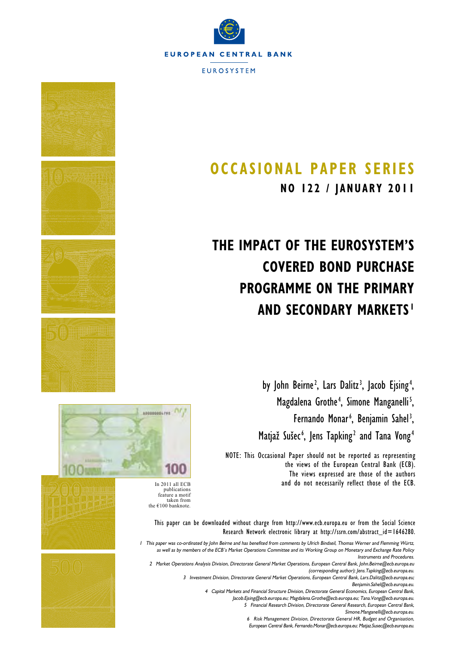



# **OCCASIONAL PAPER SERIES**

**NO 122 / JANUARY 2011**

# **THE IMPACT OF THE EUROSYSTEM'S COVERED BOND PURCHASE PROGRAMME ON THE PRIMARY AND SECONDARY MARKETS <sup>1</sup>**

by John Beirne<sup>2</sup>, Lars Dalitz<sup>3</sup>, Jacob Ejsing<sup>4</sup>, Magdalena Grothe<sup>4</sup>, Simone Manganelli<sup>5</sup>, Fernando Monar<sup>6</sup>, Benjamin Sahel<sup>3</sup>, Matjaž Sušec<sup>6</sup>, Jens Tapking<sup>2</sup> and Tana Vong<sup>4</sup>

NOTE: This Occasional Paper should not be reported as representing the views of the European Central Bank (ECB). The views expressed are those of the authors In 2011 all ECB and do not necessarily reflect those of the ECB.<br>publications



feature a motif taken from the  $€100$  banknote.

> This paper can be downloaded without charge from http://www.ecb.europa.eu or from the Social Science Research Network electronic library at http://ssrn.com/abstract\_id=1646280.

1 This paper was co-ordinated by John Beirne and has benefited from comments by Ulrich Bindseil, Thomas Werner and Flemming Würtz, as well as by members of the ECB's Market Operations Committee and its Working Group on Monetary and Exchange Rate Policy Instruments and Procedures.

2 Market Operations Analysis Division, Directorate General Market Operations, European Central Bank, John.Beirne@ecb.europa.eu (corresponding author); Jens.Tapking@ecb.europa.eu.

3 Investment Division, Directorate General Market Operations, European Central Bank, Lars.Dalitz@ecb.europa.eu; Benjamin.Sahel@ecb.europa.eu.

4 Capital Markets and Financial Structure Division, Directorate General Economics, European Central Bank,

Jacob.Ejsing@ecb.europa.eu; Magdalena.Grothe@ecb.europa.eu; Tana.Vong@ecb.europa.eu.

5 Financial Research Division, Directorate General Research, European Central Bank, Simone.Manganelli@ecb.europa.eu.

6 Risk Management Division, Directorate General HR, Budget and Organisation,

European Central Bank, Fernando.Monar@ecb.europa.eu; Matjaz.Susec@ecb.europa.eu.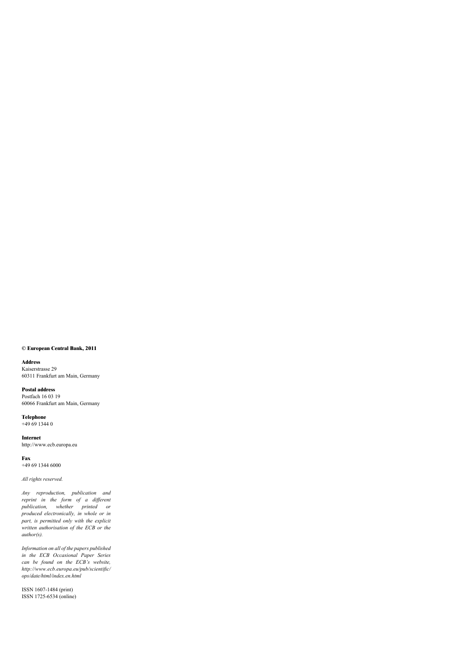#### **© European Central Bank, 2011**

#### **Address**

Kaiserstrasse 29 60311 Frankfurt am Main, Germany

**Postal address** Postfach 16 03 19 60066 Frankfurt am Main, Germany

**Telephone** +49 69 1344 0

**Internet** http://www.ecb.europa.eu

**Fax** +49 69 1344 6000

*All rights reserved.* 

*Any reproduction, publication and reprint in the form of a different publication, whether printed or produced electronically, in whole or in part, is permitted only with the explicit written authorisation of the ECB or the author(s).* 

*Information on all of the papers published in the ECB Occasional Paper Series can be found on the ECB's website, http://www.ecb.europa.eu/pub/scientifi c/ ops/date/html/index.en.html*

ISSN 1607-1484 (print) ISSN 1725-6534 (online)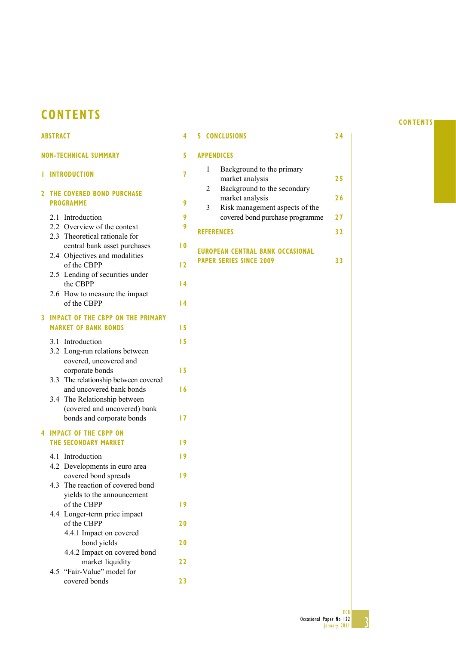## **CONTENTS**

#### **ABSTRACT 4 NON-TECHNICAL SUMMARY 5 1 INTRODUCTION 7 2 THE COVERED BOND PURCHASE PROGRAMME 9** 2.1 Introduction **9** 2.2 Overview of the context **9** 2.3 Theoretical rationale for central bank asset purchases **10** 2.4 Objectives and modalities of the CBPP **12** 2.5 Lending of securities under the CBPP **14** 2.6 How to measure the impact of the CBPP **14 3 IMPACT OF THE CBPP ON THE PRIMARY MARKET OF BANK BONDS** 15 3.1 Introduction **15** 3.2 Long-run relations between covered, uncovered and corporate bonds **15** 3.3 The relationship between covered and uncovered bank bonds **16** 3.4 The Relationship between (covered and uncovered) bank bonds and corporate bonds **17 4 IMPACT OF THE CBPP ON THE SECONDARY MARKET 49** 4.1 Introduction **19** 4.2 Developments in euro area covered bond spreads **19** 4.3 The reaction of covered bond yields to the announcement of the CBPP **19** 4.4 Longer-term price impact of the CBPP **20** 4.4.1 Impact on covered bond yields **20** 4.4.2 Impact on covered bond market liquidity **22** 4.5 "Fair-Value" model for **5 CONCLUSIONS 24 APPENDICES** 1 Background to the primary market analysis **25** 2 Background to the secondary market analysis **26** 3 Risk management aspects of the covered bond purchase programme **27 REFERENCES 32 EUROPEAN CENTRAL BANK OCCASIONAL PAPER SERIES SINCE 2009** 33

covered bonds **23**

**CONTENTS**

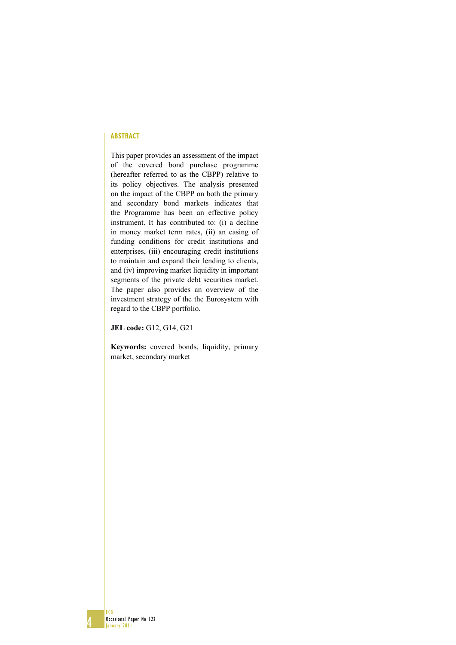#### **ABSTRACT**

This paper provides an assessment of the impact of the covered bond purchase programme (hereafter referred to as the CBPP) relative to its policy objectives. The analysis presented on the impact of the CBPP on both the primary and secondary bond markets indicates that the Programme has been an effective policy instrument. It has contributed to: (i) a decline in money market term rates, (ii) an easing of funding conditions for credit institutions and enterprises, (iii) encouraging credit institutions to maintain and expand their lending to clients, and (iv) improving market liquidity in important segments of the private debt securities market. The paper also provides an overview of the investment strategy of the the Eurosystem with regard to the CBPP portfolio.

**JEL code:** G12, G14, G21

**Keywords:** covered bonds, liquidity, primary market, secondary market

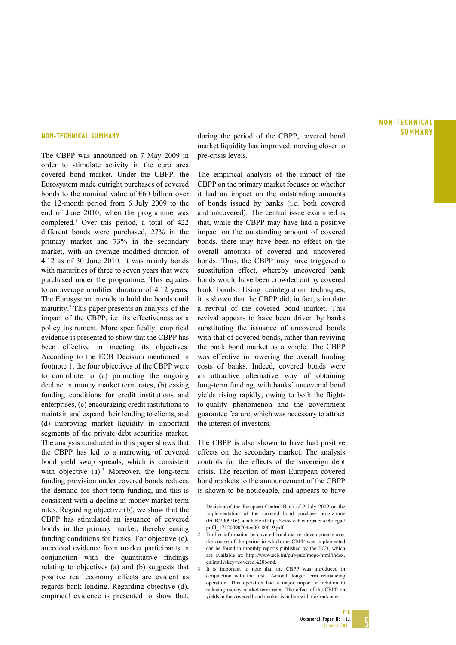The CBPP was announced on 7 May 2009 in order to stimulate activity in the euro area covered bond market. Under the CBPP, the Eurosystem made outright purchases of covered bonds to the nominal value of  $\epsilon$ 60 billion over the 12-month period from 6 July 2009 to the end of June 2010, when the programme was completed.1 Over this period, a total of 422 different bonds were purchased, 27% in the primary market and 73% in the secondary market, with an average modified duration of 4.12 as of 30 June 2010. It was mainly bonds with maturities of three to seven years that were purchased under the programme. This equates to an average modified duration of 4.12 years. The Eurosystem intends to hold the bonds until maturity.2 This paper presents an analysis of the impact of the CBPP, i.e. its effectiveness as a policy instrument. More specifically, empirical evidence is presented to show that the CBPP has been effective in meeting its objectives. According to the ECB Decision mentioned in footnote 1, the four objectives of the CBPP were to contribute to (a) promoting the ongoing decline in money market term rates, (b) easing funding conditions for credit institutions and enterprises, (c) encouraging credit institutions to maintain and expand their lending to clients, and (d) improving market liquidity in important segments of the private debt securities market. The analysis conducted in this paper shows that the CBPP has led to a narrowing of covered bond yield swap spreads, which is consistent with objective (a).<sup>3</sup> Moreover, the long-term funding provision under covered bonds reduces the demand for short-term funding, and this is consistent with a decline in money market term rates. Regarding objective (b), we show that the CBPP has stimulated an issuance of covered bonds in the primary market, thereby easing funding conditions for banks. For objective (c), anecdotal evidence from market participants in conjunction with the quantitative findings relating to objectives (a) and (b) suggests that positive real economy effects are evident as regards bank lending. Regarding objective (d), empirical evidence is presented to show that,

**NON-TECHNICAL SUMMARY** during the period of the CBPP, covered bond **SUMMARY** market liquidity has improved, moving closer to pre-crisis levels.

> The empirical analysis of the impact of the CBPP on the primary market focuses on whether it had an impact on the outstanding amounts of bonds issued by banks (i.e. both covered and uncovered). The central issue examined is that, while the CBPP may have had a positive impact on the outstanding amount of covered bonds, there may have been no effect on the overall amounts of covered and uncovered bonds. Thus, the CBPP may have triggered a substitution effect, whereby uncovered bank bonds would have been crowded out by covered bank bonds. Using cointegration techniques, it is shown that the CBPP did, in fact, stimulate a revival of the covered bond market. This revival appears to have been driven by banks substituting the issuance of uncovered bonds with that of covered bonds, rather than reviving the bank bond market as a whole. The CBPP was effective in lowering the overall funding costs of banks. Indeed, covered bonds were an attractive alternative way of obtaining long-term funding, with banks' uncovered bond yields rising rapidly, owing to both the flightto-quality phenomenon and the government guarantee feature, which was necessary to attract the interest of investors.

> The CBPP is also shown to have had positive effects on the secondary market. The analysis controls for the effects of the sovereign debt crisis. The reaction of most European covered bond markets to the announcement of the CBPP is shown to be noticeable, and appears to have

- 1 Decision of the European Central Bank of 2 July 2009 on the implementation of the covered bond purchase programme (ECB/2009/16), available at http://www.ecb.europa.eu/ecb/legal/ pdf/l\_17520090704en00180019.pdf
- 2 Further information on covered bond market developments over the course of the period in which the CBPP was implemented can be found in monthly reports published by the ECB, which are available at: http://www.ecb.int/pub/pub/mopo/html/index. en.html?skey=covered%20bond.
- 3 It is important to note that the CBPP was introduced in conjunction with the first 12-month longer term refinancing operation. This operation had a major impact in relation to reducing money market term rates. The effect of the CBPP on yields in the covered bond market is in line with this outcome.

# **NON-TECHNICAL**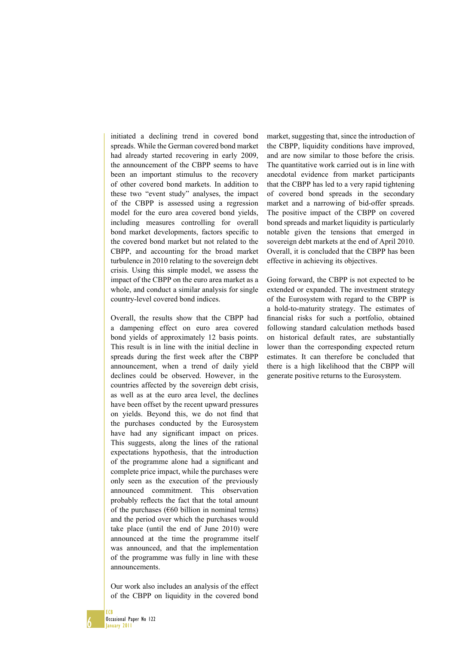initiated a declining trend in covered bond spreads. While the German covered bond market had already started recovering in early 2009, the announcement of the CBPP seems to have been an important stimulus to the recovery of other covered bond markets. In addition to these two "event study" analyses, the impact of the CBPP is assessed using a regression model for the euro area covered bond yields, including measures controlling for overall bond market developments, factors specific to the covered bond market but not related to the CBPP, and accounting for the broad market turbulence in 2010 relating to the sovereign debt crisis. Using this simple model, we assess the impact of the CBPP on the euro area market as a whole, and conduct a similar analysis for single country-level covered bond indices.

Overall, the results show that the CBPP had a dampening effect on euro area covered bond yields of approximately 12 basis points. This result is in line with the initial decline in spreads during the first week after the CBPP announcement, when a trend of daily yield declines could be observed. However, in the countries affected by the sovereign debt crisis, as well as at the euro area level, the declines have been offset by the recent upward pressures on yields. Beyond this, we do not find that the purchases conducted by the Eurosystem have had any significant impact on prices. This suggests, along the lines of the rational expectations hypothesis, that the introduction of the programme alone had a significant and complete price impact, while the purchases were only seen as the execution of the previously announced commitment. This observation probably reflects the fact that the total amount of the purchases ( $\epsilon$ 60 billion in nominal terms) and the period over which the purchases would take place (until the end of June 2010) were announced at the time the programme itself was announced, and that the implementation of the programme was fully in line with these announcements.

Our work also includes an analysis of the effect of the CBPP on liquidity in the covered bond

market, suggesting that, since the introduction of the CBPP, liquidity conditions have improved, and are now similar to those before the crisis. The quantitative work carried out is in line with anecdotal evidence from market participants that the CBPP has led to a very rapid tightening of covered bond spreads in the secondary market and a narrowing of bid-offer spreads. The positive impact of the CBPP on covered bond spreads and market liquidity is particularly notable given the tensions that emerged in sovereign debt markets at the end of April 2010. Overall, it is concluded that the CBPP has been effective in achieving its objectives.

Going forward, the CBPP is not expected to be extended or expanded. The investment strategy of the Eurosystem with regard to the CBPP is a hold-to-maturity strategy. The estimates of financial risks for such a portfolio, obtained following standard calculation methods based on historical default rates, are substantially lower than the corresponding expected return estimates. It can therefore be concluded that there is a high likelihood that the CBPP will generate positive returns to the Eurosystem.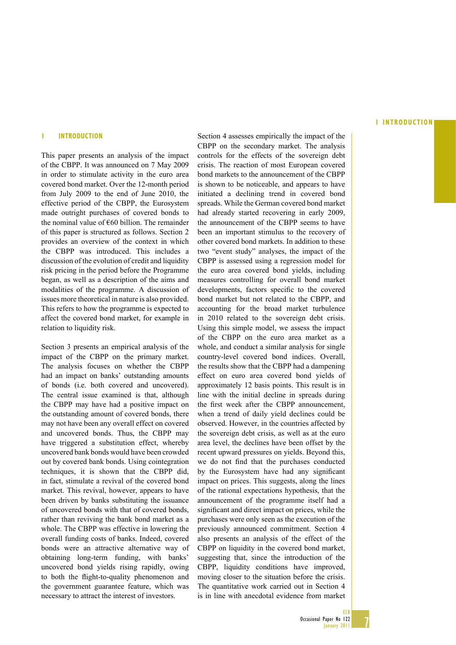#### **IINTRODUCTION**

#### **1 INTRODUCTION**

This paper presents an analysis of the impact of the CBPP. It was announced on 7 May 2009 in order to stimulate activity in the euro area covered bond market. Over the 12-month period from July 2009 to the end of June 2010, the effective period of the CBPP, the Eurosystem made outright purchases of covered bonds to the nominal value of  $€60$  billion. The remainder of this paper is structured as follows. Section 2 provides an overview of the context in which the CBPP was introduced. This includes a discussion of the evolution of credit and liquidity risk pricing in the period before the Programme began, as well as a description of the aims and modalities of the programme. A discussion of issues more theoretical in nature is also provided. This refers to how the programme is expected to affect the covered bond market, for example in relation to liquidity risk.

Section 3 presents an empirical analysis of the impact of the CBPP on the primary market. The analysis focuses on whether the CBPP had an impact on banks' outstanding amounts of bonds (i.e. both covered and uncovered). The central issue examined is that, although the CBPP may have had a positive impact on the outstanding amount of covered bonds, there may not have been any overall effect on covered and uncovered bonds. Thus, the CBPP may have triggered a substitution effect, whereby uncovered bank bonds would have been crowded out by covered bank bonds. Using cointegration techniques, it is shown that the CBPP did, in fact, stimulate a revival of the covered bond market. This revival, however, appears to have been driven by banks substituting the issuance of uncovered bonds with that of covered bonds, rather than reviving the bank bond market as a whole. The CBPP was effective in lowering the overall funding costs of banks. Indeed, covered bonds were an attractive alternative way of obtaining long-term funding, with banks' uncovered bond yields rising rapidly, owing to both the flight-to-quality phenomenon and the government guarantee feature, which was necessary to attract the interest of investors.

Section 4 assesses empirically the impact of the CBPP on the secondary market. The analysis controls for the effects of the sovereign debt crisis. The reaction of most European covered bond markets to the announcement of the CBPP is shown to be noticeable, and appears to have initiated a declining trend in covered bond spreads. While the German covered bond market had already started recovering in early 2009, the announcement of the CBPP seems to have been an important stimulus to the recovery of other covered bond markets. In addition to these two "event study" analyses, the impact of the CBPP is assessed using a regression model for the euro area covered bond yields, including measures controlling for overall bond market developments, factors specific to the covered bond market but not related to the CBPP, and accounting for the broad market turbulence in 2010 related to the sovereign debt crisis. Using this simple model, we assess the impact of the CBPP on the euro area market as a whole, and conduct a similar analysis for single country-level covered bond indices. Overall, the results show that the CBPP had a dampening effect on euro area covered bond yields of approximately 12 basis points. This result is in line with the initial decline in spreads during the first week after the CBPP announcement, when a trend of daily yield declines could be observed. However, in the countries affected by the sovereign debt crisis, as well as at the euro area level, the declines have been offset by the recent upward pressures on yields. Beyond this, we do not find that the purchases conducted by the Eurosystem have had any significant impact on prices. This suggests, along the lines of the rational expectations hypothesis, that the announcement of the programme itself had a significant and direct impact on prices, while the purchases were only seen as the execution of the previously announced commitment. Section 4 also presents an analysis of the effect of the CBPP on liquidity in the covered bond market, suggesting that, since the introduction of the CBPP, liquidity conditions have improved, moving closer to the situation before the crisis. The quantitative work carried out in Section 4 is in line with anecdotal evidence from market



ECB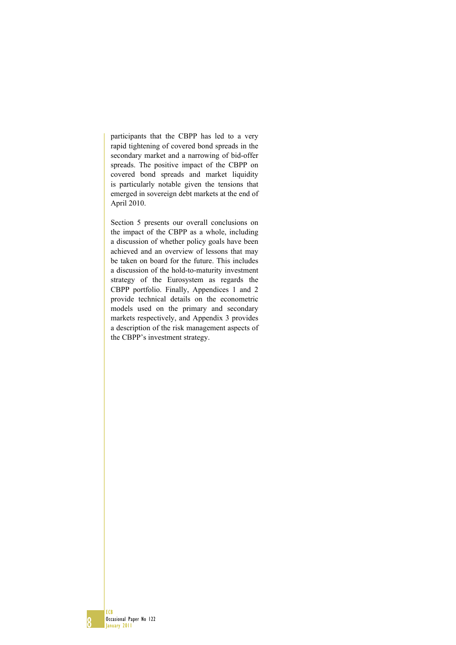participants that the CBPP has led to a very rapid tightening of covered bond spreads in the secondary market and a narrowing of bid-offer spreads. The positive impact of the CBPP on covered bond spreads and market liquidity is particularly notable given the tensions that emerged in sovereign debt markets at the end of April 2010.

Section 5 presents our overall conclusions on the impact of the CBPP as a whole, including a discussion of whether policy goals have been achieved and an overview of lessons that may be taken on board for the future. This includes a discussion of the hold-to-maturity investment strategy of the Eurosystem as regards the CBPP portfolio. Finally, Appendices 1 and 2 provide technical details on the econometric models used on the primary and secondary markets respectively, and Appendix 3 provides a description of the risk management aspects of the CBPP's investment strategy.

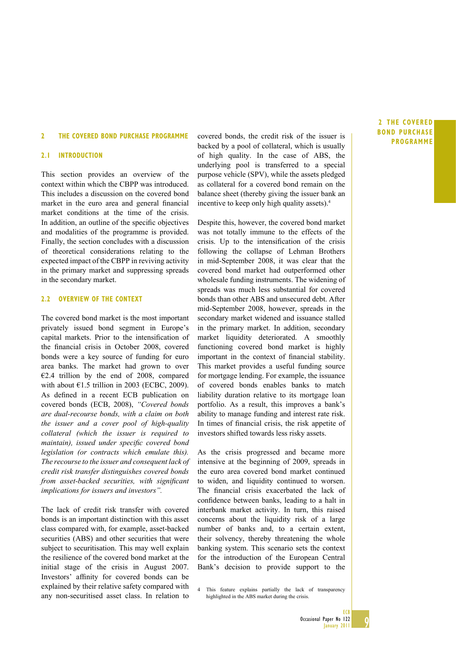#### **2 THE COVERED BOND PURCHASE PROGRAMME**

#### **2.1 INTRODUCTION**

This section provides an overview of the context within which the CBPP was introduced. This includes a discussion on the covered bond market in the euro area and general financial market conditions at the time of the crisis. In addition, an outline of the specific objectives and modalities of the programme is provided. Finally, the section concludes with a discussion of theoretical considerations relating to the expected impact of the CBPP in reviving activity in the primary market and suppressing spreads in the secondary market.

#### **2.2 OVERVIEW OF THE CONTEXT**

The covered bond market is the most important privately issued bond segment in Europe's capital markets. Prior to the intensification of the financial crisis in October 2008, covered bonds were a key source of funding for euro area banks. The market had grown to over  $E2.4$  trillion by the end of 2008, compared with about  $\epsilon$ 1.5 trillion in 2003 (ECBC, 2009). As defined in a recent ECB publication on covered bonds (ECB, 2008), *"Covered bonds are dual-recourse bonds, with a claim on both the issuer and a cover pool of high-quality collateral (which the issuer is required to maintain*), issued under specific covered bond *legislation (or contracts which emulate this). The recourse to the issuer and consequent lack of credit risk transfer distinguishes covered bonds from asset-backed securities, with significant implications for issuers and investors".* 

The lack of credit risk transfer with covered bonds is an important distinction with this asset class compared with, for example, asset-backed securities (ABS) and other securities that were subject to securitisation. This may well explain the resilience of the covered bond market at the initial stage of the crisis in August 2007. Investors' affinity for covered bonds can be explained by their relative safety compared with any non-securitised asset class. In relation to covered bonds, the credit risk of the issuer is backed by a pool of collateral, which is usually of high quality. In the case of ABS, the underlying pool is transferred to a special purpose vehicle (SPV), while the assets pledged as collateral for a covered bond remain on the balance sheet (thereby giving the issuer bank an incentive to keep only high quality assets).4

Despite this, however, the covered bond market was not totally immune to the effects of the crisis. Up to the intensification of the crisis following the collapse of Lehman Brothers in mid-September 2008, it was clear that the covered bond market had outperformed other wholesale funding instruments. The widening of spreads was much less substantial for covered bonds than other ABS and unsecured debt. After mid-September 2008, however, spreads in the secondary market widened and issuance stalled in the primary market. In addition, secondary market liquidity deteriorated. A smoothly functioning covered bond market is highly important in the context of financial stability. This market provides a useful funding source for mortgage lending. For example, the issuance of covered bonds enables banks to match liability duration relative to its mortgage loan portfolio. As a result, this improves a bank's ability to manage funding and interest rate risk. In times of financial crisis, the risk appetite of investors shifted towards less risky assets.

As the crisis progressed and became more intensive at the beginning of 2009, spreads in the euro area covered bond market continued to widen, and liquidity continued to worsen. The financial crisis exacerbated the lack of confidence between banks, leading to a halt in interbank market activity. In turn, this raised concerns about the liquidity risk of a large number of banks and, to a certain extent, their solvency, thereby threatening the whole banking system. This scenario sets the context for the introduction of the European Central Bank's decision to provide support to the

4 This feature explains partially the lack of transparency highlighted in the ABS market during the crisis.

#### **2THE COVERED BOND PURCHASE PROGRAMME**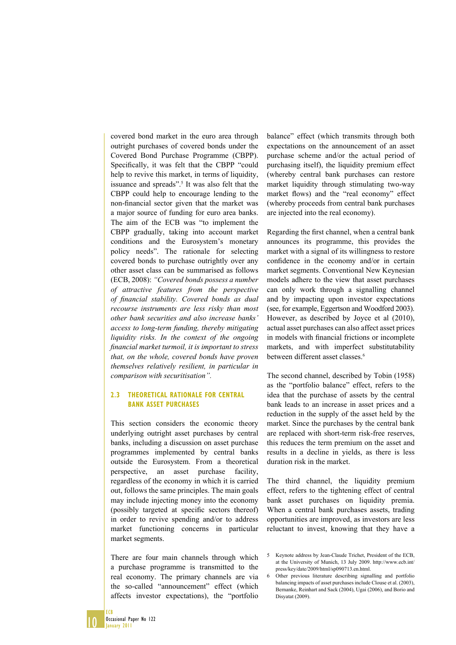covered bond market in the euro area through outright purchases of covered bonds under the Covered Bond Purchase Programme (CBPP). Specifically, it was felt that the CBPP "could help to revive this market, in terms of liquidity, issuance and spreads".<sup>5</sup> It was also felt that the CBPP could help to encourage lending to the non-financial sector given that the market was a major source of funding for euro area banks. The aim of the ECB was "to implement the CBPP gradually, taking into account market conditions and the Eurosystem's monetary policy needs". The rationale for selecting covered bonds to purchase outrightly over any other asset class can be summarised as follows (ECB, 2008): *"Covered bonds possess a number of attractive features from the perspective*  of financial stability. Covered bonds as dual *recourse instruments are less risky than most other bank securities and also increase banks' access to long-term funding, thereby mitigating liquidity risks. In the context of the ongoing fi nancial market turmoil, it is important to stress that, on the whole, covered bonds have proven themselves relatively resilient, in particular in comparison with securitisation".*

#### **2.3 THEORETICAL RATIONALE FOR CENTRAL BANK ASSET PURCHASES**

This section considers the economic theory underlying outright asset purchases by central banks, including a discussion on asset purchase programmes implemented by central banks outside the Eurosystem. From a theoretical perspective, an asset purchase facility, regardless of the economy in which it is carried out, follows the same principles. The main goals may include injecting money into the economy (possibly targeted at specific sectors thereof) in order to revive spending and/or to address market functioning concerns in particular market segments.

There are four main channels through which a purchase programme is transmitted to the real economy. The primary channels are via the so-called "announcement" effect (which affects investor expectations), the "portfolio

balance" effect (which transmits through both expectations on the announcement of an asset purchase scheme and/or the actual period of purchasing itself), the liquidity premium effect (whereby central bank purchases can restore market liquidity through stimulating two-way market flows) and the "real economy" effect (whereby proceeds from central bank purchases are injected into the real economy).

Regarding the first channel, when a central bank announces its programme, this provides the market with a signal of its willingness to restore confidence in the economy and/or in certain market segments. Conventional New Keynesian models adhere to the view that asset purchases can only work through a signalling channel and by impacting upon investor expectations (see, for example, Eggertson and Woodford 2003). However, as described by Joyce et al (2010), actual asset purchases can also affect asset prices in models with financial frictions or incomplete markets, and with imperfect substitutability between different asset classes.<sup>6</sup>

The second channel, described by Tobin (1958) as the "portfolio balance" effect, refers to the idea that the purchase of assets by the central bank leads to an increase in asset prices and a reduction in the supply of the asset held by the market. Since the purchases by the central bank are replaced with short-term risk-free reserves, this reduces the term premium on the asset and results in a decline in yields, as there is less duration risk in the market.

The third channel, the liquidity premium effect, refers to the tightening effect of central bank asset purchases on liquidity premia. When a central bank purchases assets, trading opportunities are improved, as investors are less reluctant to invest, knowing that they have a

<sup>5</sup> Keynote address by Jean-Claude Trichet, President of the ECB, at the University of Munich, 13 July 2009. http://www.ecb.int/ press/key/date/2009/html/sp090713.en.html.

<sup>6</sup> Other previous literature describing signalling and portfolio balancing impacts of asset purchases include Clouse et al. (2003), Bernanke, Reinhart and Sack (2004), Ugai (2006), and Borio and Disyatat (2009).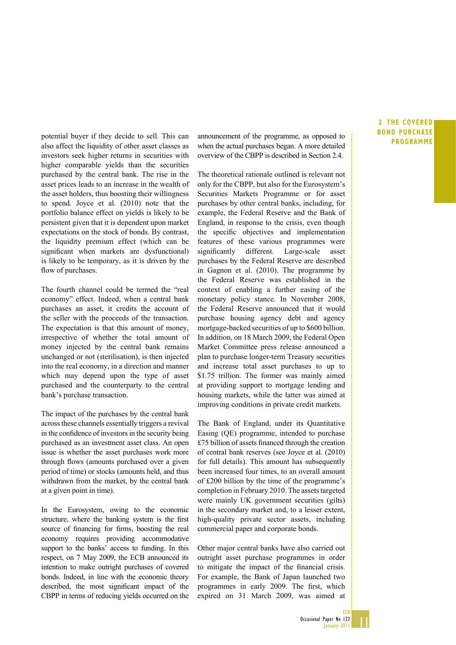also affect the liquidity of other asset classes as investors seek higher returns in securities with higher comparable yields than the securities purchased by the central bank. The rise in the asset prices leads to an increase in the wealth of the asset holders, thus boosting their willingness to spend. Joyce et al. (2010) note that the portfolio balance effect on yields is likely to be persistent given that it is dependent upon market expectations on the stock of bonds. By contrast, the liquidity premium effect (which can be significant when markets are dysfunctional) is likely to be temporary, as it is driven by the flow of purchases.

The fourth channel could be termed the "real economy" effect. Indeed, when a central bank purchases an asset, it credits the account of the seller with the proceeds of the transaction. The expectation is that this amount of money, irrespective of whether the total amount of money injected by the central bank remains unchanged or not (sterilisation), is then injected into the real economy, in a direction and manner which may depend upon the type of asset purchased and the counterparty to the central bank's purchase transaction.

The impact of the purchases by the central bank across these channels essentially triggers a revival in the confidence of investors in the security being purchased as an investment asset class. An open issue is whether the asset purchases work more through flows (amounts purchased over a given period of time) or stocks (amounts held, and thus withdrawn from the market, by the central bank at a given point in time).

In the Eurosystem, owing to the economic structure, where the banking system is the first source of financing for firms, boosting the real economy requires providing accommodative support to the banks' access to funding. In this respect, on 7 May 2009, the ECB announced its intention to make outright purchases of covered bonds. Indeed, in line with the economic theory described, the most significant impact of the CBPP in terms of reducing yields occurred on the

potential buyer if they decide to sell. This can announcement of the programme, as opposed to **PROGRAMME**<br>PROGRAMME when the actual purchases began. A more detailed overview of the CBPP is described in Section 2.4.

> The theoretical rationale outlined is relevant not only for the CBPP, but also for the Eurosystem's Securities Markets Programme or for asset purchases by other central banks, including, for example, the Federal Reserve and the Bank of England, in response to the crisis, even though the specific objectives and implementation features of these various programmes were significantly different. Large-scale asset purchases by the Federal Reserve are described in Gagnon et al. (2010). The programme by the Federal Reserve was established in the context of enabling a further easing of the monetary policy stance. In November 2008, the Federal Reserve announced that it would purchase housing agency debt and agency mortgage-backed securities of up to \$600 billion. In addition, on 18 March 2009, the Federal Open Market Committee press release announced a plan to purchase longer-term Treasury securities and increase total asset purchases to up to \$1.75 trillion. The former was mainly aimed at providing support to mortgage lending and housing markets, while the latter was aimed at improving conditions in private credit markets.

> The Bank of England, under its Quantitative Easing (QE) programme, intended to purchase  $£75$  billion of assets financed through the creation of central bank reserves (see Joyce et al. (2010) for full details). This amount has subsequently been increased four times, to an overall amount of £200 billion by the time of the programme's completion in February 2010. The assets targeted were mainly UK government securities (gilts) in the secondary market and, to a lesser extent, high-quality private sector assets, including commercial paper and corporate bonds.

> Other major central banks have also carried out outright asset purchase programmes in order to mitigate the impact of the financial crisis. For example, the Bank of Japan launched two programmes in early 2009. The first, which expired on 31 March 2009, was aimed at

### **2THE COVERED BOND PURCHASE**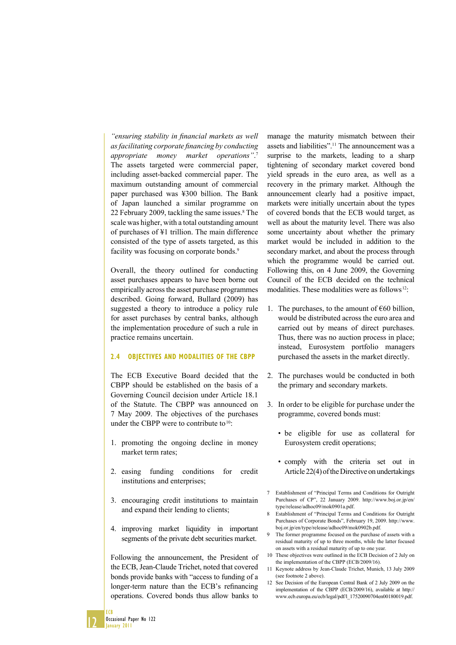"ensuring stability in financial markets as well *as facilitating corporate financing by conducting appropriate money market operations"*. 7 The assets targeted were commercial paper, including asset-backed commercial paper. The maximum outstanding amount of commercial paper purchased was ¥300 billion. The Bank of Japan launched a similar programme on 22 February 2009, tackling the same issues.<sup>8</sup> The scale was higher, with a total outstanding amount of purchases of ¥1 trillion. The main difference consisted of the type of assets targeted, as this facility was focusing on corporate bonds.<sup>9</sup>

Overall, the theory outlined for conducting asset purchases appears to have been borne out empirically across the asset purchase programmes described. Going forward, Bullard (2009) has suggested a theory to introduce a policy rule for asset purchases by central banks, although the implementation procedure of such a rule in practice remains uncertain.

#### **2.4 OBJECTIVES AND MODALITIES OF THE CBPP**

The ECB Executive Board decided that the CBPP should be established on the basis of a Governing Council decision under Article 18.1 of the Statute. The CBPP was announced on 7 May 2009. The objectives of the purchases under the CBPP were to contribute to <sup>10</sup>:

- 1. promoting the ongoing decline in money market term rates;
- 2. easing funding conditions for credit institutions and enterprises;
- 3. encouraging credit institutions to maintain and expand their lending to clients;
- 4. improving market liquidity in important segments of the private debt securities market.

Following the announcement, the President of the ECB, Jean-Claude Trichet, noted that covered bonds provide banks with "access to funding of a longer-term nature than the ECB's refinancing operations. Covered bonds thus allow banks to

manage the maturity mismatch between their assets and liabilities".<sup>11</sup> The announcement was a surprise to the markets, leading to a sharp tightening of secondary market covered bond yield spreads in the euro area, as well as a recovery in the primary market. Although the announcement clearly had a positive impact, markets were initially uncertain about the types of covered bonds that the ECB would target, as well as about the maturity level. There was also some uncertainty about whether the primary market would be included in addition to the secondary market, and about the process through which the programme would be carried out. Following this, on 4 June 2009, the Governing Council of the ECB decided on the technical modalities. These modalities were as follows<sup>12</sup>:

- 1. The purchases, to the amount of  $\epsilon$ 60 billion, would be distributed across the euro area and carried out by means of direct purchases. Thus, there was no auction process in place; instead, Eurosystem portfolio managers purchased the assets in the market directly.
- 2. The purchases would be conducted in both the primary and secondary markets.
- 3. In order to be eligible for purchase under the programme, covered bonds must:
	- be eligible for use as collateral for Eurosystem credit operations;
	- comply with the criteria set out in Article 22(4) of the Directive on undertakings
- 7 Establishment of "Principal Terms and Conditions for Outright Purchases of CP", 22 January 2009. http://www.boj.or.jp/en/ type/release/adhoc09/mok0901a.pdf.
- 8 Establishment of "Principal Terms and Conditions for Outright Purchases of Corporate Bonds", February 19, 2009. http://www. boj.or.jp/en/type/release/adhoc09/mok0902b.pdf.
- 9 The former programme focused on the purchase of assets with a residual maturity of up to three months, while the latter focused on assets with a residual maturity of up to one year.
- 10 These objectives were outlined in the ECB Decision of 2 July on the implementation of the CBPP (ECB/2009/16).
- 11 Keynote address by Jean-Claude Trichet, Munich, 13 July 2009 (see footnote 2 above).
- 12 See Decision of the European Central Bank of 2 July 2009 on the implementation of the CBPP (ECB/2009/16), available at http:// www.ecb.europa.eu/ecb/legal/pdf/l\_17520090704en00180019.pdf.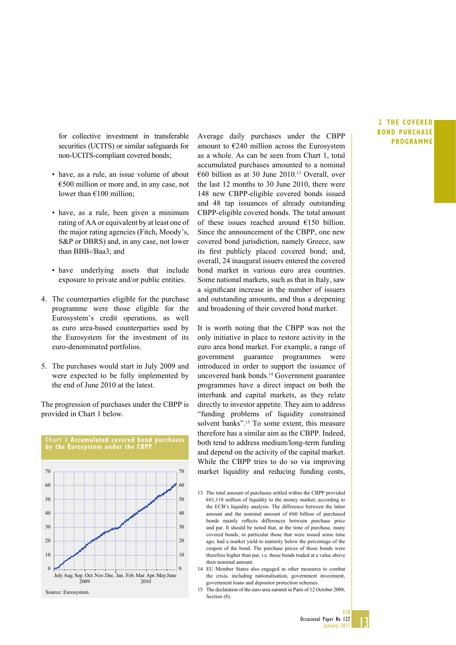for collective investment in transferable securities (UCITS) or similar safeguards for non-UCITS-compliant covered bonds;

- have, as a rule, an issue volume of about €500 million or more and, in any case, not lower than €100 million;
- have, as a rule, been given a minimum rating of AA or equivalent by at least one of the major rating agencies (Fitch, Moody's, S&P or DBRS) and, in any case, not lower than BBB-/Baa3; and
- have underlying assets that include exposure to private and/or public entities.
- 4. The counterparties eligible for the purchase programme were those eligible for the Eurosystem's credit operations, as well as euro area-based counterparties used by the Eurosystem for the investment of its euro-denominated portfolios.
- 5. The purchases would start in July 2009 and were expected to be fully implemented by the end of June 2010 at the latest.

The progression of purchases under the CBPP is provided in Chart 1 below.



Average daily purchases under the CBPP amount to €240 million across the Eurosystem as a whole. As can be seen from Chart 1, total accumulated purchases amounted to a nominal  $\epsilon$ 60 billion as at 30 June 2010<sup>13</sup> Overall, over the last 12 months to 30 June 2010, there were 148 new CBPP-eligible covered bonds issued and 48 tap issuances of already outstanding CBPP-eligible covered bonds. The total amount of these issues reached around €150 billion. Since the announcement of the CBPP, one new covered bond jurisdiction, namely Greece, saw its first publicly placed covered bond; and, overall, 24 inaugural issuers entered the covered bond market in various euro area countries. Some national markets, such as that in Italy, saw a significant increase in the number of issuers and outstanding amounts, and thus a deepening and broadening of their covered bond market.

It is worth noting that the CBPP was not the only initiative in place to restore activity in the euro area bond market. For example, a range of government guarantee programmes were introduced in order to support the issuance of uncovered bank bonds.14 Government guarantee programmes have a direct impact on both the interbank and capital markets, as they relate directly to investor appetite. They aim to address "funding problems of liquidity constrained solvent banks".15 To some extent, this measure therefore has a similar aim as the CBPP. Indeed, both tend to address medium/long-term funding and depend on the activity of the capital market. While the CBPP tries to do so via improving market liquidity and reducing funding costs,

- 14 EU Member States also engaged in other measures to combat the crisis, including nationalisation, government investment, government loans and depositor protection schemes.
- 15 The declaration of the euro area summit in Paris of 12 October 2008, Section  $(8)$ .

#### **2THE COVERED BOND PURCHASE PROGRAMME**

<sup>13</sup> The total amount of purchases settled within the CBPP provided €61,118 million of liquidity to the money market, according to the ECB's liquidity analysis. The difference between the latter amount and the nominal amount of €60 billion of purchased bonds mainly reflects differences between purchase price and par. It should be noted that, at the time of purchase, many covered bonds, in particular those that were issued some time ago, had a market yield to maturity below the percentage of the coupon of the bond. The purchase prices of those bonds were therefore higher than par, i.e. those bonds traded at a value above their nominal amount.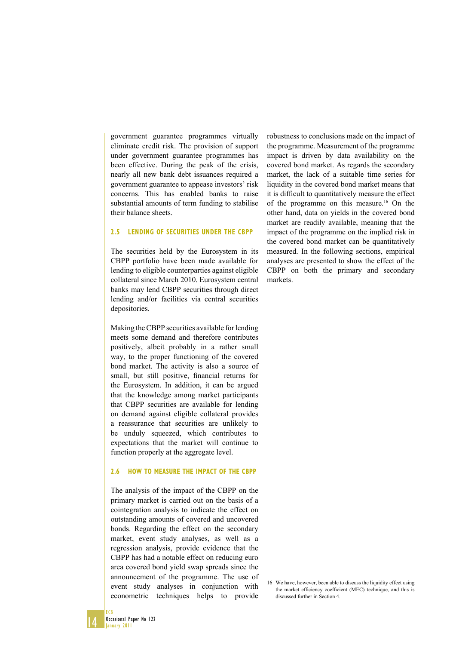government guarantee programmes virtually eliminate credit risk. The provision of support under government guarantee programmes has been effective. During the peak of the crisis, nearly all new bank debt issuances required a government guarantee to appease investors' risk concerns. This has enabled banks to raise substantial amounts of term funding to stabilise their balance sheets.

#### **2.5 LENDING OF SECURITIES UNDER THE CBPP**

The securities held by the Eurosystem in its CBPP portfolio have been made available for lending to eligible counterparties against eligible collateral since March 2010. Eurosystem central banks may lend CBPP securities through direct lending and/or facilities via central securities depositories.

Making the CBPP securities available for lending meets some demand and therefore contributes positively, albeit probably in a rather small way, to the proper functioning of the covered bond market. The activity is also a source of small, but still positive, financial returns for the Eurosystem. In addition, it can be argued that the knowledge among market participants that CBPP securities are available for lending on demand against eligible collateral provides a reassurance that securities are unlikely to be unduly squeezed, which contributes to expectations that the market will continue to function properly at the aggregate level.

#### **2.6 HOW TO MEASURE THE IMPACT OF THE CBPP**

The analysis of the impact of the CBPP on the primary market is carried out on the basis of a cointegration analysis to indicate the effect on outstanding amounts of covered and uncovered bonds. Regarding the effect on the secondary market, event study analyses, as well as a regression analysis, provide evidence that the CBPP has had a notable effect on reducing euro area covered bond yield swap spreads since the announcement of the programme. The use of event study analyses in conjunction with econometric techniques helps to provide

robustness to conclusions made on the impact of the programme. Measurement of the programme impact is driven by data availability on the covered bond market. As regards the secondary market, the lack of a suitable time series for liquidity in the covered bond market means that it is difficult to quantitatively measure the effect of the programme on this measure.16 On the other hand, data on yields in the covered bond market are readily available, meaning that the impact of the programme on the implied risk in the covered bond market can be quantitatively measured. In the following sections, empirical analyses are presented to show the effect of the CBPP on both the primary and secondary markets.

16 We have, however, been able to discuss the liquidity effect using the market efficiency coefficient (MEC) technique, and this is discussed further in Section 4.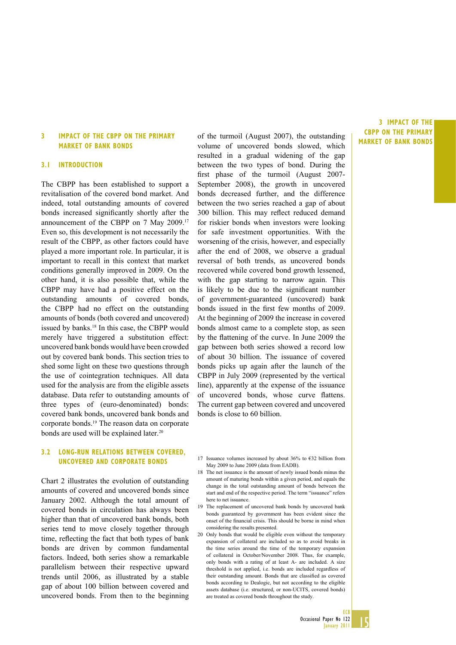#### **3 IMPACT OF THE CBPP ON THE PRIMARY MARKET OF BANK BONDS**

#### **3.1 INTRODUCTION**

The CBPP has been established to support a revitalisation of the covered bond market. And indeed, total outstanding amounts of covered bonds increased significantly shortly after the announcement of the CBPP on 7 May 2009.17 Even so, this development is not necessarily the result of the CBPP, as other factors could have played a more important role. In particular, it is important to recall in this context that market conditions generally improved in 2009. On the other hand, it is also possible that, while the CBPP may have had a positive effect on the outstanding amounts of covered bonds, the CBPP had no effect on the outstanding amounts of bonds (both covered and uncovered) issued by banks.<sup>18</sup> In this case, the CBPP would merely have triggered a substitution effect: uncovered bank bonds would have been crowded out by covered bank bonds. This section tries to shed some light on these two questions through the use of cointegration techniques. All data used for the analysis are from the eligible assets database. Data refer to outstanding amounts of three types of (euro-denominated) bonds: covered bank bonds, uncovered bank bonds and corporate bonds.19 The reason data on corporate bonds are used will be explained later.<sup>20</sup>

#### **3.2 LONG-RUN RELATIONS BETWEEN COVERED, UNCOVERED AND CORPORATE BONDS**

Chart 2 illustrates the evolution of outstanding amounts of covered and uncovered bonds since January 2002. Although the total amount of covered bonds in circulation has always been higher than that of uncovered bank bonds, both series tend to move closely together through time, reflecting the fact that both types of bank bonds are driven by common fundamental factors. Indeed, both series show a remarkable parallelism between their respective upward trends until 2006, as illustrated by a stable gap of about 100 billion between covered and uncovered bonds. From then to the beginning

of the turmoil (August 2007), the outstanding volume of uncovered bonds slowed, which resulted in a gradual widening of the gap between the two types of bond. During the first phase of the turmoil (August 2007-September 2008), the growth in uncovered bonds decreased further, and the difference between the two series reached a gap of about 300 billion. This may reflect reduced demand for riskier bonds when investors were looking for safe investment opportunities. With the worsening of the crisis, however, and especially after the end of 2008, we observe a gradual reversal of both trends, as uncovered bonds recovered while covered bond growth lessened, with the gap starting to narrow again. This is likely to be due to the significant number of government-guaranteed (uncovered) bank bonds issued in the first few months of 2009. At the beginning of 2009 the increase in covered bonds almost came to a complete stop, as seen by the flattening of the curve. In June 2009 the gap between both series showed a record low of about 30 billion. The issuance of covered bonds picks up again after the launch of the CBPP in July 2009 (represented by the vertical line), apparently at the expense of the issuance of uncovered bonds, whose curve flattens. The current gap between covered and uncovered bonds is close to 60 billion.

**3 IMPACT OF THE CBPP ON THE PRIMARY MARKET OF BANK BONDS**

- 17 Issuance volumes increased by about 36% to  $\epsilon$ 32 billion from May 2009 to June 2009 (data from EADB).
- 18 The net issuance is the amount of newly issued bonds minus the amount of maturing bonds within a given period, and equals the change in the total outstanding amount of bonds between the start and end of the respective period. The term "issuance" refers here to net issuance.
- 19 The replacement of uncovered bank bonds by uncovered bank bonds guaranteed by government has been evident since the onset of the financial crisis. This should be borne in mind when considering the results presented.
- 20 Only bonds that would be eligible even without the temporary expansion of collateral are included so as to avoid breaks in the time series around the time of the temporary expansion of collateral in October/November 2008. Thus, for example, only bonds with a rating of at least A- are included. A size threshold is not applied, i.e. bonds are included regardless of their outstanding amount. Bonds that are classified as covered bonds according to Dealogic, but not according to the eligible assets database (i.e. structured, or non-UCITS, covered bonds) are treated as covered bonds throughout the study.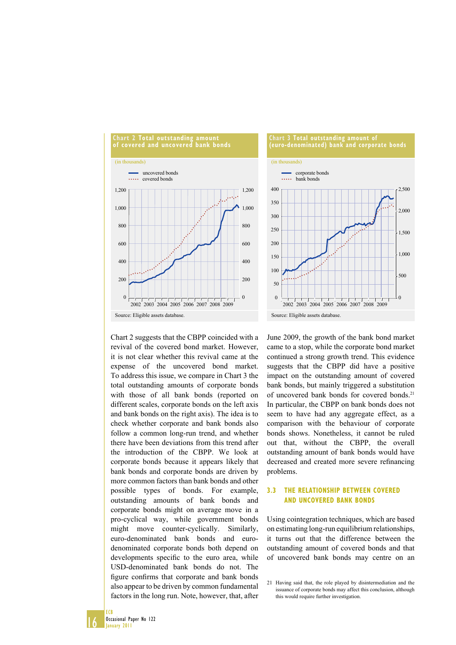



Chart 2 suggests that the CBPP coincided with a revival of the covered bond market. However, it is not clear whether this revival came at the expense of the uncovered bond market. To address this issue, we compare in Chart 3 the total outstanding amounts of corporate bonds with those of all bank bonds (reported on different scales, corporate bonds on the left axis and bank bonds on the right axis). The idea is to check whether corporate and bank bonds also follow a common long-run trend, and whether there have been deviations from this trend after the introduction of the CBPP. We look at corporate bonds because it appears likely that bank bonds and corporate bonds are driven by more common factors than bank bonds and other possible types of bonds. For example, outstanding amounts of bank bonds and corporate bonds might on average move in a pro-cyclical way, while government bonds might move counter-cyclically. Similarly, euro-denominated bank bonds and eurodenominated corporate bonds both depend on developments specific to the euro area, while USD-denominated bank bonds do not. The figure confirms that corporate and bank bonds also appear to be driven by common fundamental factors in the long run. Note, however, that, after

June 2009, the growth of the bank bond market came to a stop, while the corporate bond market continued a strong growth trend. This evidence suggests that the CBPP did have a positive impact on the outstanding amount of covered bank bonds, but mainly triggered a substitution of uncovered bank bonds for covered bonds.<sup>21</sup> In particular, the CBPP on bank bonds does not seem to have had any aggregate effect, as a comparison with the behaviour of corporate bonds shows. Nonetheless, it cannot be ruled out that, without the CBPP, the overall outstanding amount of bank bonds would have decreased and created more severe refinancing problems.

#### **3.3 THE RELATIONSHIP BETWEEN COVERED AND UNCOVERED BANK BONDS**

Using cointegration techniques, which are based on estimating long-run equilibrium relationships, it turns out that the difference between the outstanding amount of covered bonds and that of uncovered bank bonds may centre on an

<sup>21</sup> Having said that, the role played by disintermediation and the issuance of corporate bonds may affect this conclusion, although this would require further investigation.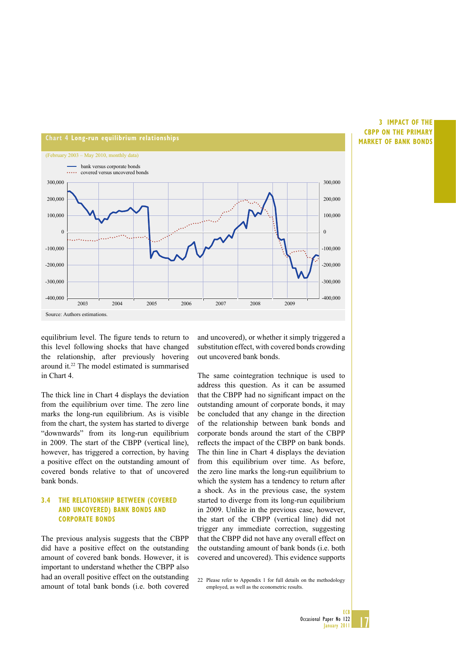

#### **3 IMPACT OF THE CBPP ON THE PRIMARY MARKET OF BANK BONDS**

equilibrium level. The figure tends to return to this level following shocks that have changed the relationship, after previously hovering around it.22 The model estimated is summarised in Chart 4.

The thick line in Chart 4 displays the deviation from the equilibrium over time. The zero line marks the long-run equilibrium. As is visible from the chart, the system has started to diverge "downwards" from its long-run equilibrium in 2009. The start of the CBPP (vertical line), however, has triggered a correction, by having a positive effect on the outstanding amount of covered bonds relative to that of uncovered bank bonds.

#### **3.4 THE RELATIONSHIP BETWEEN (COVERED AND UNCOVERED) BANK BONDS AND CORPORATE BONDS**

The previous analysis suggests that the CBPP did have a positive effect on the outstanding amount of covered bank bonds. However, it is important to understand whether the CBPP also had an overall positive effect on the outstanding amount of total bank bonds (i.e. both covered

and uncovered), or whether it simply triggered a substitution effect, with covered bonds crowding out uncovered bank bonds.

The same cointegration technique is used to address this question. As it can be assumed that the CBPP had no significant impact on the outstanding amount of corporate bonds, it may be concluded that any change in the direction of the relationship between bank bonds and corporate bonds around the start of the CBPP reflects the impact of the CBPP on bank bonds. The thin line in Chart 4 displays the deviation from this equilibrium over time. As before, the zero line marks the long-run equilibrium to which the system has a tendency to return after a shock. As in the previous case, the system started to diverge from its long-run equilibrium in 2009. Unlike in the previous case, however, the start of the CBPP (vertical line) did not trigger any immediate correction, suggesting that the CBPP did not have any overall effect on the outstanding amount of bank bonds (i.e. both covered and uncovered). This evidence supports

22 Please refer to Appendix 1 for full details on the methodology employed, as well as the econometric results.

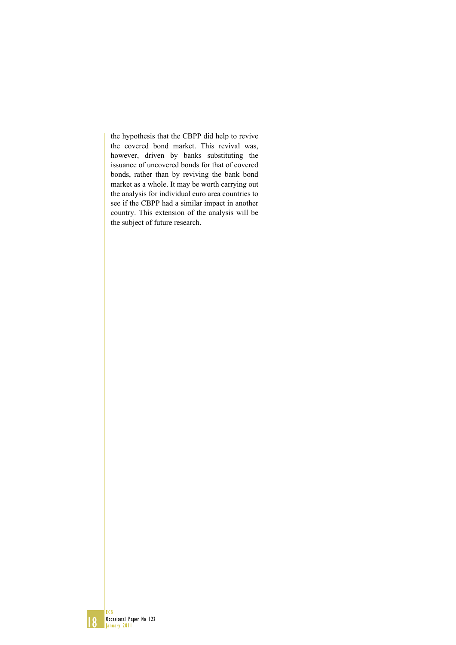the hypothesis that the CBPP did help to revive the covered bond market. This revival was, however, driven by banks substituting the issuance of uncovered bonds for that of covered bonds, rather than by reviving the bank bond market as a whole. It may be worth carrying out the analysis for individual euro area countries to see if the CBPP had a similar impact in another country. This extension of the analysis will be the subject of future research.

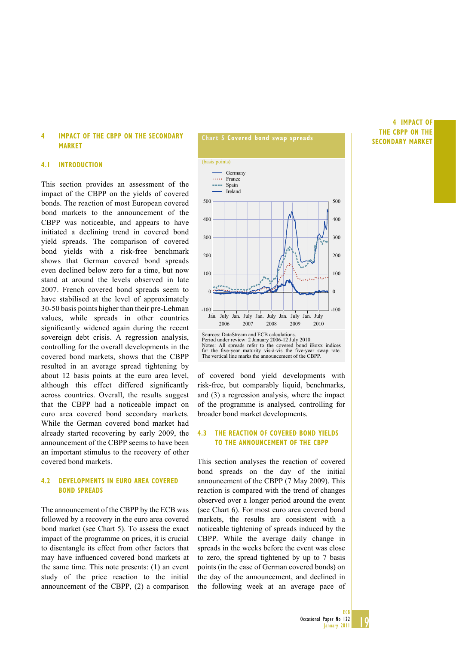#### **4 IMPACT OF THE CBPP ON THE SECONDARY MARKET**

#### **4.1 INTRODUCTION**

This section provides an assessment of the impact of the CBPP on the yields of covered bonds. The reaction of most European covered bond markets to the announcement of the CBPP was noticeable, and appears to have initiated a declining trend in covered bond yield spreads. The comparison of covered bond yields with a risk-free benchmark shows that German covered bond spreads even declined below zero for a time, but now stand at around the levels observed in late 2007. French covered bond spreads seem to have stabilised at the level of approximately 30-50 basis points higher than their pre-Lehman values, while spreads in other countries significantly widened again during the recent sovereign debt crisis. A regression analysis, controlling for the overall developments in the covered bond markets, shows that the CBPP resulted in an average spread tightening by about 12 basis points at the euro area level, although this effect differed significantly across countries. Overall, the results suggest that the CBPP had a noticeable impact on euro area covered bond secondary markets. While the German covered bond market had already started recovering by early 2009, the announcement of the CBPP seems to have been an important stimulus to the recovery of other covered bond markets.

#### **4.2 DEVELOPMENTS IN EURO AREA COVERED BOND SPREADS**

The announcement of the CBPP by the ECB was followed by a recovery in the euro area covered bond market (see Chart 5). To assess the exact impact of the programme on prices, it is crucial to disentangle its effect from other factors that may have influenced covered bond markets at the same time. This note presents: (1) an event study of the price reaction to the initial announcement of the CBPP, (2) a comparison



Sources: DataStream and ECB calculations.<br>Period under review: 2 January 2006-12 July 2010.<br>Notes: All spreads refer to the covered bond iBoxx indices<br>for the five-year maturity vis-à-vis the five-year swap rate.<br>The verti

of covered bond yield developments with risk-free, but comparably liquid, benchmarks, and (3) a regression analysis, where the impact of the programme is analysed, controlling for broader bond market developments.

#### **4.3 THE REACTION OF COVERED BOND YIELDS TO THE ANNOUNCEMENT OF THE CBPP**

This section analyses the reaction of covered bond spreads on the day of the initial announcement of the CBPP (7 May 2009). This reaction is compared with the trend of changes observed over a longer period around the event (see Chart 6). For most euro area covered bond markets, the results are consistent with a noticeable tightening of spreads induced by the CBPP. While the average daily change in spreads in the weeks before the event was close to zero, the spread tightened by up to 7 basis points (in the case of German covered bonds) on the day of the announcement, and declined in the following week at an average pace of

#### **4 IMPACT OF THE CBPP ON THE SECONDARY MARKET**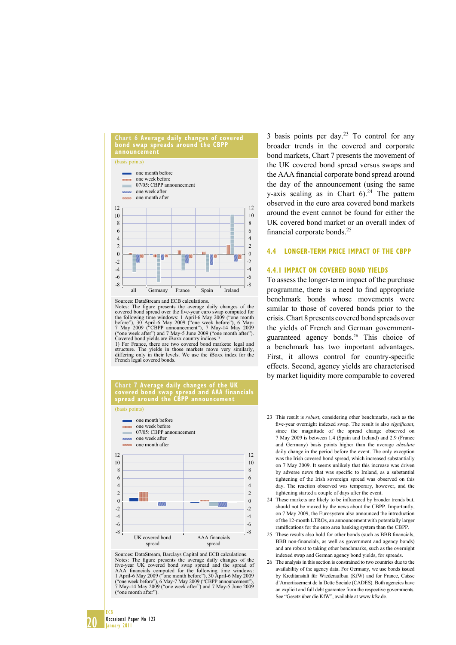

Sources: DataStream and ECB calculations.

Notes: The figure presents the average daily changes of the covered bond spread over the five-year euro swap computed for the following time windows: 1 April-6 May 2009 ("one month<br>before"), 30 April-6 May 2009 ("one week before"), 6 May-<br>7 May 2009 ("CBPP announcement"), 7 May-14 May 2009<br>("one week after") and 7 May-5 June 2009 ("one month Covered bond yields are iBoxx country indices.<sup>1)</sup><br>1) For France, there are two covered bond markets: legal and

structure. The yields in those markets move very similarly, differing only in their levels. We use the iBoxx index for the French legal covered bonds.

#### **Chart 7 Average daily changes of the UK covered bond swap spread and AAA financials spread around the CBPP announcement**

(basis points)



Sources: DataStream, Barclays Capital and ECB calculations. Notes: The figure presents the average daily changes of the five-year UK covered bond swap spread ond the spread of AAA financials computed for the following time windows: 1 April-6 May 2009 ("one month before"), 30 April ("one month after").

3 basis points per day. $2<sup>3</sup>$  To control for any broader trends in the covered and corporate bond markets, Chart 7 presents the movement of the UK covered bond spread versus swaps and the AAA financial corporate bond spread around the day of the announcement (using the same y-axis scaling as in Chart  $6$ ).<sup>24</sup> The pattern observed in the euro area covered bond markets around the event cannot be found for either the UK covered bond market or an overall index of financial corporate bonds.<sup>25</sup>

#### **4.4 LONGER-TERM PRICE IMPACT OF THE CBPP**

#### **4.4.1 IMPACT ON COVERED BOND YIELDS**

To assess the longer-term impact of the purchase programme, there is a need to find appropriate benchmark bonds whose movements were similar to those of covered bonds prior to the crisis. Chart 8 presents covered bond spreads over the yields of French and German governmentguaranteed agency bonds.26 This choice of a benchmark has two important advantages. First, it allows control for country-specific effects. Second, agency yields are characterised by market liquidity more comparable to covered

- 23 This result is *robust*, considering other benchmarks, such as the five-year overnight indexed swap. The result is also *significant*, since the magnitude of the spread change observed on 7 May 2009 is between 1.4 (Spain and Ireland) and 2.9 (France and Germany) basis points higher than the average *absolute* daily change in the period before the event. The only exception was the Irish covered bond spread, which increased substantially on 7 May 2009. It seems unlikely that this increase was driven by adverse news that was specific to Ireland, as a substantial tightening of the Irish sovereign spread was observed on this day. The reaction observed was temporary, however, and the tightening started a couple of days after the event.
- 24 These markets are likely to be influenced by broader trends but, should not be moved by the news about the CBPP. Importantly, on 7 May 2009, the Eurosystem also announced the introduction of the 12-month LTROs, an announcement with potentially larger ramifications for the euro area banking system than the CBPP.
- 25 These results also hold for other bonds (such as BBB financials, BBB non-financials, as well as government and agency bonds) and are robust to taking other benchmarks, such as the overnight indexed swap and German agency bond yields, for spreads.
- 26 The analysis in this section is constrained to two countries due to the availability of the agency data. For Germany, we use bonds issued by Kreditanstalt für Wiederaufbau (KfW) and for France, Caisse d'Amortissement de la Dette Sociale (CADES). Both agencies have an explicit and full debt guarantee from the respective governments. See "Gesetz über die KfW", available at www.kfw.de.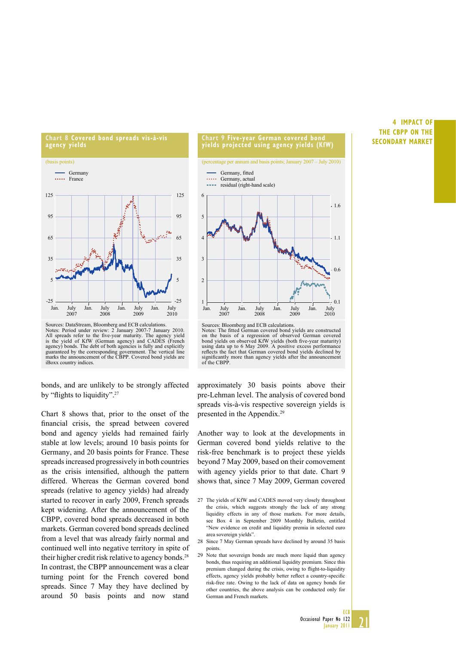



Sources: DataStream, Bloomberg and ECB calculations.<br>Notes: Period under review: 2 January 2007-7 January 2010.<br>All spreads refer to the five-year maturity. The agency yield<br>is the yield of KfW (German agency) and CADES (F guaranteed by the corresponding government. The vertical line marks the announcement of the CBPP. Covered bond yields are iBoxx country indices.

bonds, and are unlikely to be strongly affected by "flights to liquidity".<sup>27</sup>

Chart 8 shows that, prior to the onset of the financial crisis, the spread between covered bond and agency yields had remained fairly stable at low levels; around 10 basis points for Germany, and 20 basis points for France. These spreads increased progressively in both countries as the crisis intensified, although the pattern differed. Whereas the German covered bond spreads (relative to agency yields) had already started to recover in early 2009, French spreads kept widening. After the announcement of the CBPP, covered bond spreads decreased in both markets. German covered bond spreads declined from a level that was already fairly normal and continued well into negative territory in spite of their higher credit risk relative to agency bonds.<sup>28</sup> In contrast, the CBPP announcement was a clear turning point for the French covered bond spreads. Since 7 May they have declined by around 50 basis points and now stand



bond yields on observed KfW yields (both five-year maturity) using data up to 6 May 2009. A positive excess performance reflects the fact that German covered bond yields declined by significantly more than agency yields after the announcement of the CBPP.

approximately 30 basis points above their pre-Lehman level. The analysis of covered bond spreads vis-à-vis respective sovereign yields is presented in the Appendix.29

Another way to look at the developments in German covered bond yields relative to the risk-free benchmark is to project these yields beyond 7 May 2009, based on their comovement with agency yields prior to that date. Chart 9 shows that, since 7 May 2009, German covered

- 27 The yields of KfW and CADES moved very closely throughout the crisis, which suggests strongly the lack of any strong liquidity effects in any of those markets. For more details, see Box 4 in September 2009 Monthly Bulletin, entitled "New evidence on credit and liquidity premia in selected euro area sovereign yields".
- 28 Since 7 May German spreads have declined by around 35 basis points.
- 29 Note that sovereign bonds are much more liquid than agency bonds, thus requiring an additional liquidity premium. Since this premium changed during the crisis, owing to flight-to-liquidity effects, agency yields probably better reflect a country-specific risk-free rate. Owing to the lack of data on agency bonds for other countries, the above analysis can be conducted only for German and French markets.

#### **4 IMPACT OF THE CBPP ON THE SECONDARY MARKET**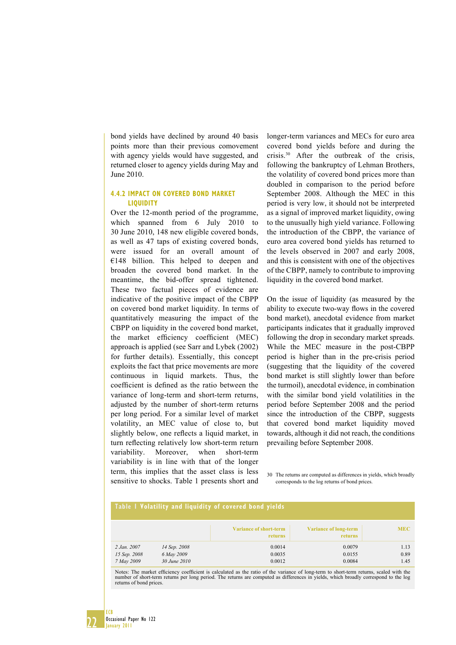bond yields have declined by around 40 basis points more than their previous comovement with agency yields would have suggested, and returned closer to agency yields during May and June 2010.

#### **4.4.2 IMPACT ON COVERED BOND MARKET LIQUIDITY**

Over the 12-month period of the programme, which spanned from 6 July 2010 to 30 June 2010, 148 new eligible covered bonds, as well as 47 taps of existing covered bonds, were issued for an overall amount of  $€148$  billion. This helped to deepen and broaden the covered bond market. In the meantime, the bid-offer spread tightened. These two factual pieces of evidence are indicative of the positive impact of the CBPP on covered bond market liquidity. In terms of quantitatively measuring the impact of the CBPP on liquidity in the covered bond market, the market efficiency coefficient (MEC) approach is applied (see Sarr and Lybek (2002) for further details). Essentially, this concept exploits the fact that price movements are more continuous in liquid markets. Thus, the coefficient is defined as the ratio between the variance of long-term and short-term returns, adjusted by the number of short-term returns per long period. For a similar level of market volatility, an MEC value of close to, but slightly below, one reflects a liquid market, in turn reflecting relatively low short-term return variability. Moreover, when short-term variability is in line with that of the longer term, this implies that the asset class is less sensitive to shocks. Table 1 presents short and

longer-term variances and MECs for euro area covered bond yields before and during the crisis.30 After the outbreak of the crisis, following the bankruptcy of Lehman Brothers, the volatility of covered bond prices more than doubled in comparison to the period before September 2008. Although the MEC in this period is very low, it should not be interpreted as a signal of improved market liquidity, owing to the unusually high yield variance. Following the introduction of the CBPP, the variance of euro area covered bond yields has returned to the levels observed in 2007 and early 2008, and this is consistent with one of the objectives of the CBPP, namely to contribute to improving liquidity in the covered bond market.

On the issue of liquidity (as measured by the ability to execute two-way flows in the covered bond market), anecdotal evidence from market participants indicates that it gradually improved following the drop in secondary market spreads. While the MEC measure in the post-CBPP period is higher than in the pre-crisis period (suggesting that the liquidity of the covered bond market is still slightly lower than before the turmoil), anecdotal evidence, in combination with the similar bond yield volatilities in the period before September 2008 and the period since the introduction of the CBPP, suggests that covered bond market liquidity moved towards, although it did not reach, the conditions prevailing before September 2008.

30 The returns are computed as differences in yields, which broadly corresponds to the log returns of bond prices.

| Table I Volatility and liquidity of covered bond yields |                                            |                                                 |                                         |                      |  |
|---------------------------------------------------------|--------------------------------------------|-------------------------------------------------|-----------------------------------------|----------------------|--|
|                                                         |                                            | <b>Variance of short-term</b><br><b>returns</b> | <b>Variance of long-term</b><br>returns | <b>MEC</b>           |  |
| 2 Jan. 2007<br>15 Sep. 2008<br>7 May 2009               | 14 Sep. 2008<br>6 May 2009<br>30 June 2010 | 0.0014<br>0.0035<br>0.0012                      | 0.0079<br>0.0155<br>0.0084              | 1.13<br>0.89<br>1.45 |  |

Notes: The market efficiency coefficient is calculated as the ratio of the variance of long-term to short-term returns, scaled with the number of short-term returns per long period. The returns are computed as differences in yields, which broadly correspond to the log returns of bond prices.

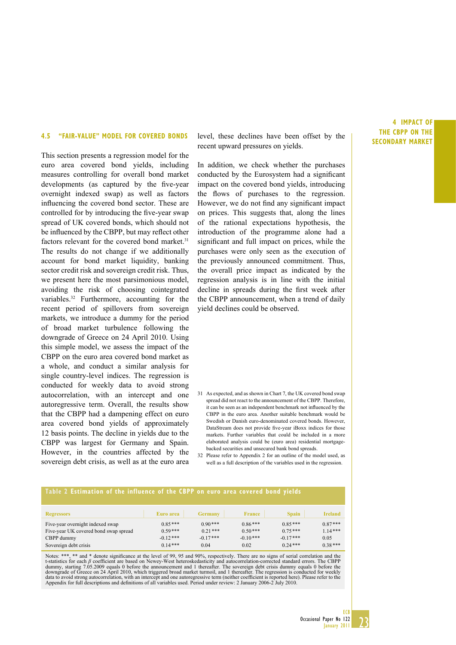#### **4.5 "FAIR-VALUE" MODEL FOR COVERED BONDS**

This section presents a regression model for the euro area covered bond yields, including measures controlling for overall bond market developments (as captured by the five-year overnight indexed swap) as well as factors influencing the covered bond sector. These are controlled for by introducing the five-year swap spread of UK covered bonds, which should not be influenced by the CBPP, but may reflect other factors relevant for the covered bond market.<sup>31</sup> The results do not change if we additionally account for bond market liquidity, banking sector credit risk and sovereign credit risk. Thus, we present here the most parsimonious model, avoiding the risk of choosing cointegrated variables.32 Furthermore, accounting for the recent period of spillovers from sovereign markets, we introduce a dummy for the period of broad market turbulence following the downgrade of Greece on 24 April 2010. Using this simple model, we assess the impact of the CBPP on the euro area covered bond market as a whole, and conduct a similar analysis for single country-level indices. The regression is conducted for weekly data to avoid strong autocorrelation, with an intercept and one autoregressive term. Overall, the results show that the CBPP had a dampening effect on euro area covered bond yields of approximately 12 basis points. The decline in yields due to the CBPP was largest for Germany and Spain. However, in the countries affected by the sovereign debt crisis, as well as at the euro area

level, these declines have been offset by the recent upward pressures on yields.

In addition, we check whether the purchases conducted by the Eurosystem had a significant impact on the covered bond yields, introducing the flows of purchases to the regression. However, we do not find any significant impact on prices. This suggests that, along the lines of the rational expectations hypothesis, the introduction of the programme alone had a significant and full impact on prices, while the purchases were only seen as the execution of the previously announced commitment. Thus, the overall price impact as indicated by the regression analysis is in line with the initial decline in spreads during the first week after the CBPP announcement, when a trend of daily yield declines could be observed.

- 31 As expected, and as shown in Chart 7, the UK covered bond swap spread did not react to the announcement of the CBPP. Therefore, it can be seen as an independent benchmark not influenced by the CBPP in the euro area. Another suitable benchmark would be Swedish or Danish euro-denominated covered bonds. However, DataStream does not provide five-year iBoxx indices for those markets. Further variables that could be included in a more elaborated analysis could be (euro area) residential mortgagebacked securities and unsecured bank bond spreads.
- 32 Please refer to Appendix 2 for an outline of the model used, as well as a full description of the variables used in the regression.

#### **Table 2 Estimation of the influence of the CBPP on euro area covered bond yields**

| <b>Regressors</b>                     | Euro area  | <b>Germany</b> | <b>France</b> | <b>Spain</b> | Ireland   |
|---------------------------------------|------------|----------------|---------------|--------------|-----------|
| Five-year overnight indexed swap      | $0.85***$  | $0.90***$      | $0.86***$     | $0.85***$    | $0.87***$ |
| Five-year UK covered bond swap spread | $0.59***$  | $0.21***$      | $0.50***$     | $0.75***$    | $1.14***$ |
| CBPP dummy                            | $-0.12***$ | $-0.17***$     | $-0.10***$    | $-0.17***$   | 0.05      |
| Sovereign debt crisis                 | $0.14***$  | 0.04           | 0.02          | $0.24***$    | $0.38***$ |

Notes: \*\*\*, \*\* and \* denote significance at the level of 99, 95 and 90%, respectively. There are no signs of serial correlation and the t-statistics for each *β* coeffi cient are based on Newey-West heteroskedasticity and autocorrelation-corrected standard errors. The CBPP dummy, starting 7.05.2009 equals 0 before the announcement and 1 thereafter. The sovereign debt crisis dummy equals 0 before the<br>downgrade of Greece on 24 April 2010, which triggered broad market turmoil, and 1 thereafter. data to avoid strong autocorrelation, with an intercept and one autoregressive term (neither coefficient is reported here). Please refer to the<br>Appendix for full descriptions and definitions of all variables used. Period u

#### **4 IMPACT OF THE CBPP ON THE SECONDARY MARKET**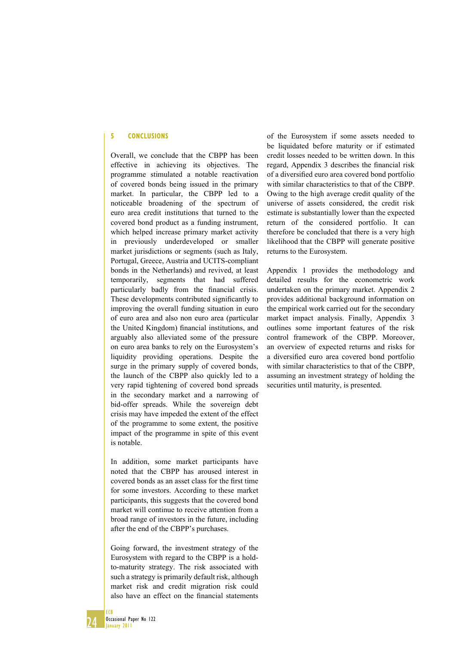#### **5 CONCLUSIONS**

Overall, we conclude that the CBPP has been effective in achieving its objectives. The programme stimulated a notable reactivation of covered bonds being issued in the primary market. In particular, the CBPP led to a noticeable broadening of the spectrum of euro area credit institutions that turned to the covered bond product as a funding instrument, which helped increase primary market activity in previously underdeveloped or smaller market jurisdictions or segments (such as Italy, Portugal, Greece, Austria and UCITS-compliant bonds in the Netherlands) and revived, at least temporarily, segments that had suffered particularly badly from the financial crisis. These developments contributed significantly to improving the overall funding situation in euro of euro area and also non euro area (particular the United Kingdom) financial institutions, and arguably also alleviated some of the pressure on euro area banks to rely on the Eurosystem's liquidity providing operations. Despite the surge in the primary supply of covered bonds, the launch of the CBPP also quickly led to a very rapid tightening of covered bond spreads in the secondary market and a narrowing of bid-offer spreads. While the sovereign debt crisis may have impeded the extent of the effect of the programme to some extent, the positive impact of the programme in spite of this event is notable.

In addition, some market participants have noted that the CBPP has aroused interest in covered bonds as an asset class for the first time for some investors. According to these market participants, this suggests that the covered bond market will continue to receive attention from a broad range of investors in the future, including after the end of the CBPP's purchases.

Going forward, the investment strategy of the Eurosystem with regard to the CBPP is a holdto-maturity strategy. The risk associated with such a strategy is primarily default risk, although market risk and credit migration risk could also have an effect on the financial statements

of the Eurosystem if some assets needed to be liquidated before maturity or if estimated credit losses needed to be written down. In this regard, Appendix 3 describes the financial risk of a diversified euro area covered bond portfolio with similar characteristics to that of the CBPP. Owing to the high average credit quality of the universe of assets considered, the credit risk estimate is substantially lower than the expected return of the considered portfolio. It can therefore be concluded that there is a very high likelihood that the CBPP will generate positive returns to the Eurosystem.

Appendix 1 provides the methodology and detailed results for the econometric work undertaken on the primary market. Appendix 2 provides additional background information on the empirical work carried out for the secondary market impact analysis. Finally, Appendix 3 outlines some important features of the risk control framework of the CBPP. Moreover, an overview of expected returns and risks for a diversified euro area covered bond portfolio with similar characteristics to that of the CBPP, assuming an investment strategy of holding the securities until maturity, is presented.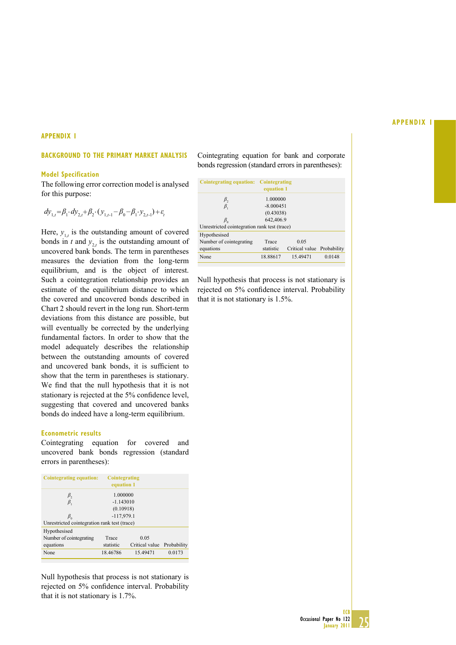#### **APPENDIX 1**

#### **BACKGROUND TO THE PRIMARY MARKET ANALYSIS**

#### **Model Specification**

The following error correction model is analysed for this purpose:

$$
dy_{1,t} = \beta_1 \cdot dy_{2,t} + \beta_2 \cdot (y_{1,t-1} - \beta_0 - \beta_1 \cdot y_{2,t-1}) + \varepsilon_t
$$

Here,  $y_{1,t}$  is the outstanding amount of covered bonds in *t* and  $y_{2,t}$  is the outstanding amount of uncovered bank bonds. The term in parentheses measures the deviation from the long-term equilibrium, and is the object of interest. Such a cointegration relationship provides an estimate of the equilibrium distance to which the covered and uncovered bonds described in Chart 2 should revert in the long run. Short-term deviations from this distance are possible, but will eventually be corrected by the underlying fundamental factors. In order to show that the model adequately describes the relationship between the outstanding amounts of covered and uncovered bank bonds, it is sufficient to show that the term in parentheses is stationary. We find that the null hypothesis that it is not stationary is rejected at the 5% confidence level, suggesting that covered and uncovered banks bonds do indeed have a long-term equilibrium.

#### **Econometric results**

Cointegrating equation for covered and uncovered bank bonds regression (standard errors in parentheses):

| Cointegrating equation:                      | <b>Cointegrating</b><br>equation 1 |                |             |  |  |  |
|----------------------------------------------|------------------------------------|----------------|-------------|--|--|--|
| $\beta_{2}$                                  | 1.000000                           |                |             |  |  |  |
| $\beta_{1}$                                  | $-1.143010$                        |                |             |  |  |  |
|                                              | (0.10918)                          |                |             |  |  |  |
| $\beta_{\alpha}$                             | $-117,979.1$                       |                |             |  |  |  |
| Unrestricted cointegration rank test (trace) |                                    |                |             |  |  |  |
| Hypothesised                                 |                                    |                |             |  |  |  |
| Number of cointegrating                      | Trace                              | 0.05           |             |  |  |  |
| equations                                    | statistic                          | Critical value | Probability |  |  |  |
| None                                         | 18.46786                           | 15.49471       | 0.0173      |  |  |  |

Null hypothesis that process is not stationary is rejected on 5% confidence interval. Probability that it is not stationary is 1.7%.

Cointegrating equation for bank and corporate bonds regression (standard errors in parentheses):

| Cointegrating equation:                      | Cointegrating<br>equation 1 |                            |        |  |  |  |
|----------------------------------------------|-----------------------------|----------------------------|--------|--|--|--|
| $\beta_{2}$                                  | 1.000000                    |                            |        |  |  |  |
| $\beta_{1}$                                  | $-8.000451$                 |                            |        |  |  |  |
|                                              | (0.43038)                   |                            |        |  |  |  |
| $\beta_{0}$                                  | 642,406.9                   |                            |        |  |  |  |
| Unrestricted cointegration rank test (trace) |                             |                            |        |  |  |  |
| Hypothesised                                 |                             |                            |        |  |  |  |
| Number of cointegrating                      | Trace                       | 0.05                       |        |  |  |  |
| equations                                    | statistic                   | Critical value Probability |        |  |  |  |
| None                                         | 18.88617                    | 15.49471                   | 0.0148 |  |  |  |

Null hypothesis that process is not stationary is rejected on 5% confidence interval. Probability that it is not stationary is 1.5%.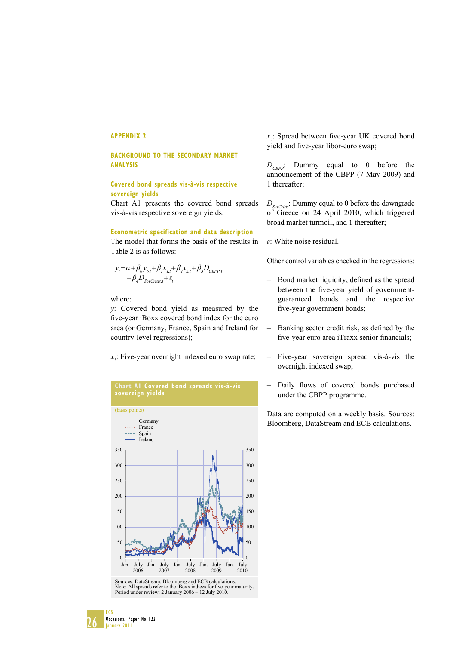#### **BACKGROUND TO THE SECONDARY MARKET ANALYSIS**

#### **Covered bond spreads vis-à-vis respective sovereign yields**

Chart A1 presents the covered bond spreads vis-à-vis respective sovereign yields.

#### **Econometric specification and data description**

The model that forms the basis of the results in Table 2 is as follows:

$$
y_t = \alpha + \beta_0 y_{t-1} + \beta_t x_{t,t} + \beta_2 x_{2,t} + \beta_3 D_{CBPP,t}
$$
  
+  $\beta_4 D_{SovCrisis,t} + \varepsilon_t$ 

#### where:

*y*: Covered bond yield as measured by the five-year iBoxx covered bond index for the euro area (or Germany, France, Spain and Ireland for country-level regressions);

 $x_i$ : Five-year overnight indexed euro swap rate;

#### **Chart A1 Covered bond spreads vis-à-vis sovereign yields** (basis points) Germany ..... France Spain **STORY** Ireland



*x*<sub>2</sub>: Spread between five-year UK covered bond yield and five-year libor-euro swap;

*D<sub>CBPP</sub>*: Dummy equal to 0 before the announcement of the CBPP (7 May 2009) and 1 thereafter;

*DSovCrisis*: Dummy equal to 0 before the downgrade of Greece on 24 April 2010, which triggered broad market turmoil, and 1 thereafter;

*ε*: White noise residual.

Other control variables checked in the regressions:

- Bond market liquidity, defined as the spread between the five-year yield of governmentguaranteed bonds and the respective five-year government bonds;
- $-$  Banking sector credit risk, as defined by the five-year euro area iTraxx senior financials;
- Five-year sovereign spread vis-à-vis the overnight indexed swap;
- Daily flows of covered bonds purchased under the CBPP programme.

Data are computed on a weekly basis. Sources: Bloomberg, DataStream and ECB calculations.

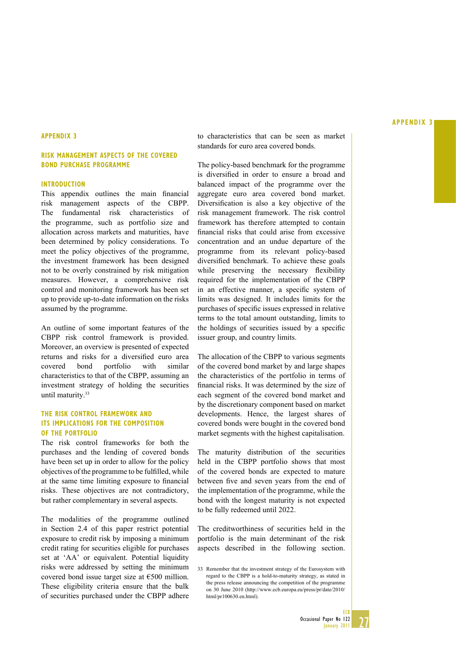#### **APPENDIX 3**

#### **RISK MANAGEMENT ASPECTS OF THE COVERED BOND PURCHASE PROGRAMME**

#### **INTRODUCTION**

This appendix outlines the main financial risk management aspects of the CBPP. The fundamental risk characteristics of the programme, such as portfolio size and allocation across markets and maturities, have been determined by policy considerations. To meet the policy objectives of the programme, the investment framework has been designed not to be overly constrained by risk mitigation measures. However, a comprehensive risk control and monitoring framework has been set up to provide up-to-date information on the risks assumed by the programme.

An outline of some important features of the CBPP risk control framework is provided. Moreover, an overview is presented of expected returns and risks for a diversified euro area covered bond portfolio with similar characteristics to that of the CBPP, assuming an investment strategy of holding the securities until maturity.33

#### **THE RISK CONTROL FRAMEWORK AND ITS IMPLICATIONS FOR THE COMPOSITION OF THE PORTFOLIO**

The risk control frameworks for both the purchases and the lending of covered bonds have been set up in order to allow for the policy objectives of the programme to be fulfilled, while at the same time limiting exposure to financial risks. These objectives are not contradictory, but rather complementary in several aspects.

The modalities of the programme outlined in Section 2.4 of this paper restrict potential exposure to credit risk by imposing a minimum credit rating for securities eligible for purchases set at 'AA' or equivalent. Potential liquidity risks were addressed by setting the minimum covered bond issue target size at €500 million. These eligibility criteria ensure that the bulk of securities purchased under the CBPP adhere

to characteristics that can be seen as market standards for euro area covered bonds.

The policy-based benchmark for the programme is diversified in order to ensure a broad and balanced impact of the programme over the aggregate euro area covered bond market. Diversification is also a key objective of the risk management framework. The risk control framework has therefore attempted to contain financial risks that could arise from excessive concentration and an undue departure of the programme from its relevant policy-based diversified benchmark. To achieve these goals while preserving the necessary flexibility required for the implementation of the CBPP in an effective manner, a specific system of limits was designed. It includes limits for the purchases of specific issues expressed in relative terms to the total amount outstanding, limits to the holdings of securities issued by a specific issuer group, and country limits.

The allocation of the CBPP to various segments of the covered bond market by and large shapes the characteristics of the portfolio in terms of financial risks. It was determined by the size of each segment of the covered bond market and by the discretionary component based on market developments. Hence, the largest shares of covered bonds were bought in the covered bond market segments with the highest capitalisation.

The maturity distribution of the securities held in the CBPP portfolio shows that most of the covered bonds are expected to mature between five and seven years from the end of the implementation of the programme, while the bond with the longest maturity is not expected to be fully redeemed until 2022.

The creditworthiness of securities held in the portfolio is the main determinant of the risk aspects described in the following section.



<sup>33</sup> Remember that the investment strategy of the Eurosystem with regard to the CBPP is a hold-to-maturity strategy, as stated in the press release announcing the competition of the programme on 30 June 2010 (http://www.ecb.europa.eu/press/pr/date/2010/ html/pr100630.en.html).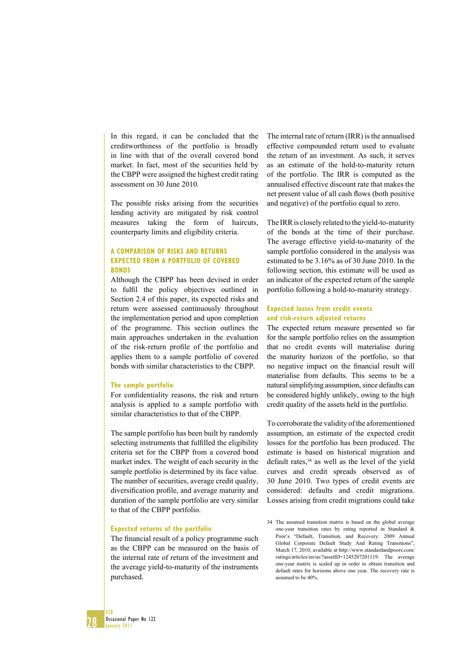In this regard, it can be concluded that the creditworthiness of the portfolio is broadly in line with that of the overall covered bond market. In fact, most of the securities held by the CBPP were assigned the highest credit rating assessment on 30 June 2010.

The possible risks arising from the securities lending activity are mitigated by risk control measures taking the form of haircuts, counterparty limits and eligibility criteria.

#### **A COMPARISON OF RISKS AND RETURNS EXPECTED FROM A PORTFOLIO OF COVERED BONDS**

Although the CBPP has been devised in order to fulfil the policy objectives outlined in Section 2.4 of this paper, its expected risks and return were assessed continuously throughout the implementation period and upon completion of the programme. This section outlines the main approaches undertaken in the evaluation of the risk-return profile of the portfolio and applies them to a sample portfolio of covered bonds with similar characteristics to the CBPP.

#### **The sample portfolio**

For confidentiality reasons, the risk and return analysis is applied to a sample portfolio with similar characteristics to that of the CBPP.

The sample portfolio has been built by randomly selecting instruments that fulfilled the eligibility criteria set for the CBPP from a covered bond market index. The weight of each security in the sample portfolio is determined by its face value. The number of securities, average credit quality, diversification profile, and average maturity and duration of the sample portfolio are very similar to that of the CBPP portfolio.

#### **Expected returns of the portfolio**

The financial result of a policy programme such as the CBPP can be measured on the basis of the internal rate of return of the investment and the average yield-to-maturity of the instruments purchased.

The internal rate of return (IRR) is the annualised effective compounded return used to evaluate the return of an investment. As such, it serves as an estimate of the hold-to-maturity return of the portfolio. The IRR is computed as the annualised effective discount rate that makes the net present value of all cash flows (both positive and negative) of the portfolio equal to zero.

The IRR is closely related to the yield-to-maturity of the bonds at the time of their purchase. The average effective yield-to-maturity of the sample portfolio considered in the analysis was estimated to be 3.16% as of 30 June 2010. In the following section, this estimate will be used as an indicator of the expected return of the sample portfolio following a hold-to-maturity strategy.

#### **Expected losses from credit events and risk-return adjusted returns**

The expected return measure presented so far for the sample portfolio relies on the assumption that no credit events will materialise during the maturity horizon of the portfolio, so that no negative impact on the financial result will materialise from defaults. This seems to be a natural simplifying assumption, since defaults can be considered highly unlikely, owing to the high credit quality of the assets held in the portfolio.

To corroborate the validity of the aforementioned assumption, an estimate of the expected credit losses for the portfolio has been produced. The estimate is based on historical migration and default rates,  $34$  as well as the level of the yield curves and credit spreads observed as of 30 June 2010. Two types of credit events are considered: defaults and credit migrations. Losses arising from credit migrations could take

<sup>34</sup> The assumed transition matrix is based on the global average one-year transition rates by rating reported in Standard & Poor's "Default, Transition, and Recovery: 2009 Annual Global Corporate Default Study And Rating Transitions", March 17, 2010, available at http://www.standardandpoors.com/ ratings/articles/en/us/?assetID=1245207201119. The average one-year matrix is scaled up in order to obtain transition and default rates for horizons above one year. The recovery rate is assumed to be 40%.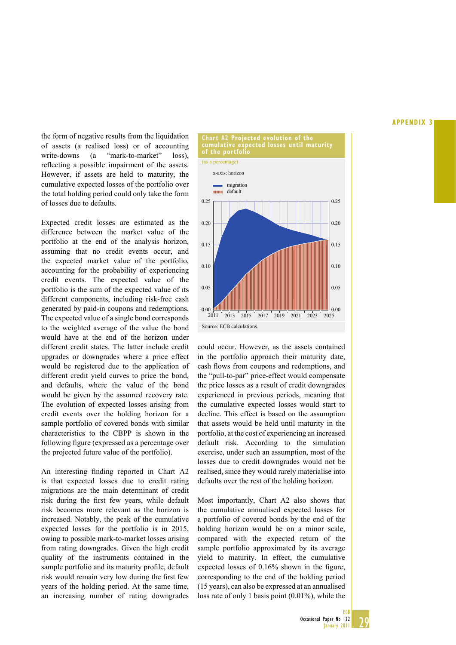the form of negative results from the liquidation of assets (a realised loss) or of accounting write-downs (a "mark-to-market" loss), reflecting a possible impairment of the assets. However, if assets are held to maturity, the cumulative expected losses of the portfolio over the total holding period could only take the form of losses due to defaults.

Expected credit losses are estimated as the difference between the market value of the portfolio at the end of the analysis horizon, assuming that no credit events occur, and the expected market value of the portfolio, accounting for the probability of experiencing credit events. The expected value of the portfolio is the sum of the expected value of its different components, including risk-free cash generated by paid-in coupons and redemptions. The expected value of a single bond corresponds to the weighted average of the value the bond would have at the end of the horizon under different credit states. The latter include credit upgrades or downgrades where a price effect would be registered due to the application of different credit yield curves to price the bond, and defaults, where the value of the bond would be given by the assumed recovery rate. The evolution of expected losses arising from credit events over the holding horizon for a sample portfolio of covered bonds with similar characteristics to the CBPP is shown in the following figure (expressed as a percentage over the projected future value of the portfolio).

An interesting finding reported in Chart A2 is that expected losses due to credit rating migrations are the main determinant of credit risk during the first few years, while default risk becomes more relevant as the horizon is increased. Notably, the peak of the cumulative expected losses for the portfolio is in 2015, owing to possible mark-to-market losses arising from rating downgrades. Given the high credit quality of the instruments contained in the sample portfolio and its maturity profile, default risk would remain very low during the first few years of the holding period. At the same time, an increasing number of rating downgrades



could occur. However, as the assets contained in the portfolio approach their maturity date, cash flows from coupons and redemptions, and the "pull-to-par" price-effect would compensate the price losses as a result of credit downgrades experienced in previous periods, meaning that the cumulative expected losses would start to decline. This effect is based on the assumption that assets would be held until maturity in the portfolio, at the cost of experiencing an increased default risk. According to the simulation exercise, under such an assumption, most of the losses due to credit downgrades would not be realised, since they would rarely materialise into defaults over the rest of the holding horizon.

Most importantly, Chart A2 also shows that the cumulative annualised expected losses for a portfolio of covered bonds by the end of the holding horizon would be on a minor scale, compared with the expected return of the sample portfolio approximated by its average yield to maturity. In effect, the cumulative expected losses of  $0.16\%$  shown in the figure, corresponding to the end of the holding period (15 years), can also be expressed at an annualised loss rate of only 1 basis point (0.01%), while the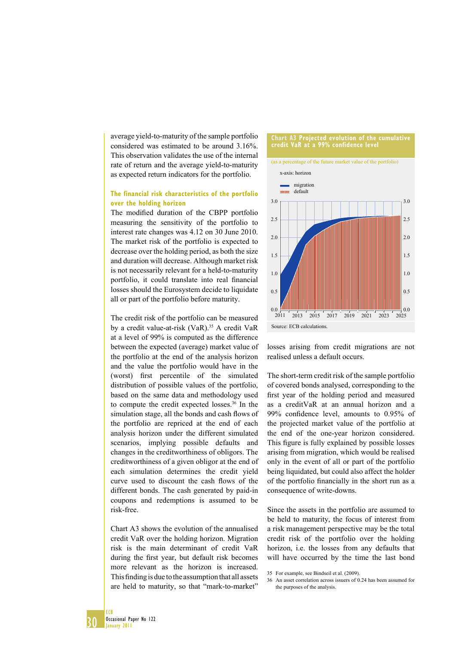average yield-to-maturity of the sample portfolio considered was estimated to be around 3.16%. This observation validates the use of the internal rate of return and the average yield-to-maturity as expected return indicators for the portfolio.

#### **The financial risk characteristics of the portfolio over the holding horizon**

The modified duration of the CBPP portfolio measuring the sensitivity of the portfolio to interest rate changes was 4.12 on 30 June 2010. The market risk of the portfolio is expected to decrease over the holding period, as both the size and duration will decrease. Although market risk is not necessarily relevant for a held-to-maturity portfolio, it could translate into real financial losses should the Eurosystem decide to liquidate all or part of the portfolio before maturity.

The credit risk of the portfolio can be measured by a credit value-at-risk (VaR).<sup>35</sup> A credit VaR at a level of 99% is computed as the difference between the expected (average) market value of the portfolio at the end of the analysis horizon and the value the portfolio would have in the (worst) first percentile of the simulated distribution of possible values of the portfolio, based on the same data and methodology used to compute the credit expected losses.<sup>36</sup> In the simulation stage, all the bonds and cash flows of the portfolio are repriced at the end of each analysis horizon under the different simulated scenarios, implying possible defaults and changes in the creditworthiness of obligors. The creditworthiness of a given obligor at the end of each simulation determines the credit yield curve used to discount the cash flows of the different bonds. The cash generated by paid-in coupons and redemptions is assumed to be risk-free.

Chart A3 shows the evolution of the annualised credit VaR over the holding horizon. Migration risk is the main determinant of credit VaR during the first year, but default risk becomes more relevant as the horizon is increased. This finding is due to the assumption that all assets are held to maturity, so that "mark-to-market"

### **Chart A3 Projected evolution of the cumulative credit VaR at a 99% confidence level** (as a percentage of the future market value of the portfolio) 2.0 2.5 3.0 2.0 2.5 3.0 x-axis: horizon migration **mm** default



losses arising from credit migrations are not realised unless a default occurs.

The short-term credit risk of the sample portfolio of covered bonds analysed, corresponding to the first year of the holding period and measured as a creditVaR at an annual horizon and a 99% confidence level, amounts to 0.95% of the projected market value of the portfolio at the end of the one-year horizon considered. This figure is fully explained by possible losses arising from migration, which would be realised only in the event of all or part of the portfolio being liquidated, but could also affect the holder of the portfolio financially in the short run as a consequence of write-downs.

Since the assets in the portfolio are assumed to be held to maturity, the focus of interest from a risk management perspective may be the total credit risk of the portfolio over the holding horizon, i.e. the losses from any defaults that will have occurred by the time the last bond

36 An asset correlation across issuers of 0.24 has been assumed for the purposes of the analysis.

<sup>35</sup> For example, see Bindseil et al. (2009).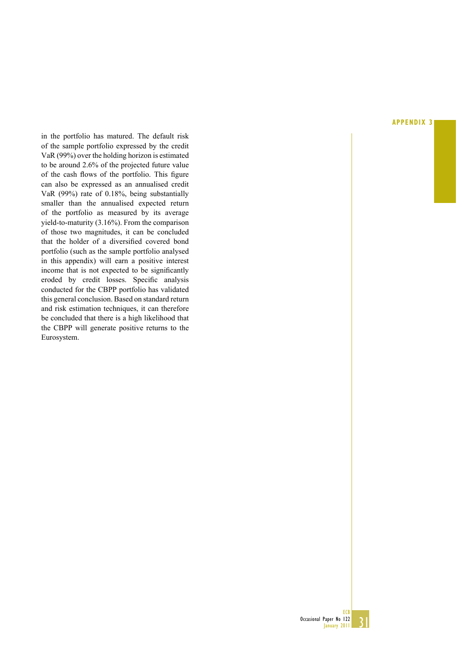in the portfolio has matured. The default risk of the sample portfolio expressed by the credit VaR (99%) over the holding horizon is estimated to be around 2.6% of the projected future value of the cash flows of the portfolio. This figure can also be expressed as an annualised credit VaR (99%) rate of 0.18%, being substantially smaller than the annualised expected return of the portfolio as measured by its average yield-to-maturity (3.16%). From the comparison of those two magnitudes, it can be concluded that the holder of a diversified covered bond portfolio (such as the sample portfolio analysed in this appendix) will earn a positive interest income that is not expected to be significantly eroded by credit losses. Specific analysis conducted for the CBPP portfolio has validated this general conclusion. Based on standard return and risk estimation techniques, it can therefore be concluded that there is a high likelihood that the CBPP will generate positive returns to the Eurosystem.

#### **APPENDIX 3**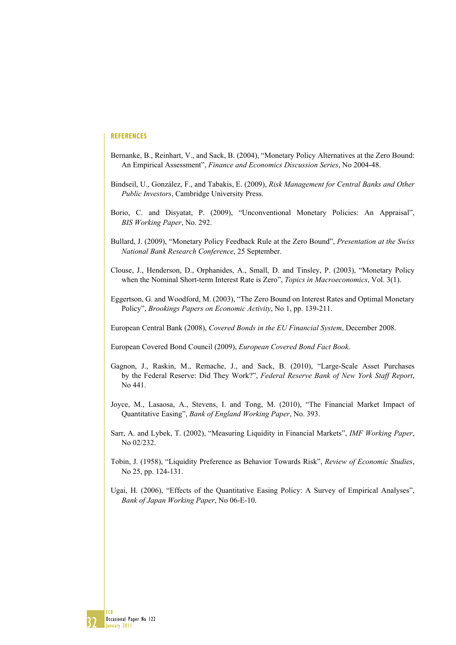#### **REFERENCES**

- Bernanke, B., Reinhart, V., and Sack, B. (2004), "Monetary Policy Alternatives at the Zero Bound: An Empirical Assessment", *Finance and Economics Discussion Series*, No 2004-48.
- Bindseil, U., González, F., and Tabakis, E. (2009), *Risk Management for Central Banks and Other Public Investors*, Cambridge University Press.
- Borio, C. and Disyatat, P. (2009), "Unconventional Monetary Policies: An Appraisal", *BIS Working Paper*, No. 292.
- Bullard, J. (2009), "Monetary Policy Feedback Rule at the Zero Bound", *Presentation at the Swiss National Bank Research Conference*, 25 September.
- Clouse, J., Henderson, D., Orphanides, A., Small, D. and Tinsley, P. (2003), "Monetary Policy when the Nominal Short-term Interest Rate is Zero", *Topics in Macroeconomics*, Vol. 3(1).
- Eggertson, G. and Woodford, M. (2003), "The Zero Bound on Interest Rates and Optimal Monetary Policy", *Brookings Papers on Economic Activity*, No 1, pp. 139-211.

European Central Bank (2008), *Covered Bonds in the EU Financial System*, December 2008.

European Covered Bond Council (2009), *European Covered Bond Fact Book*.

- Gagnon, J., Raskin, M., Remache, J., and Sack, B. (2010), "Large-Scale Asset Purchases by the Federal Reserve: Did They Work?", *Federal Reserve Bank of New York Staff Report*, No 441.
- Joyce, M., Lasaosa, A., Stevens, I. and Tong, M. (2010), "The Financial Market Impact of Quantitative Easing", *Bank of England Working Paper*, No. 393.
- Sarr, A. and Lybek, T. (2002), "Measuring Liquidity in Financial Markets", *IMF Working Paper*, No 02/232.
- Tobin, J. (1958), "Liquidity Preference as Behavior Towards Risk", *Review of Economic Studies*, No 25, pp. 124-131.
- Ugai, H. (2006), "Effects of the Quantitative Easing Policy: A Survey of Empirical Analyses", *Bank of Japan Working Paper*, No 06-E-10.

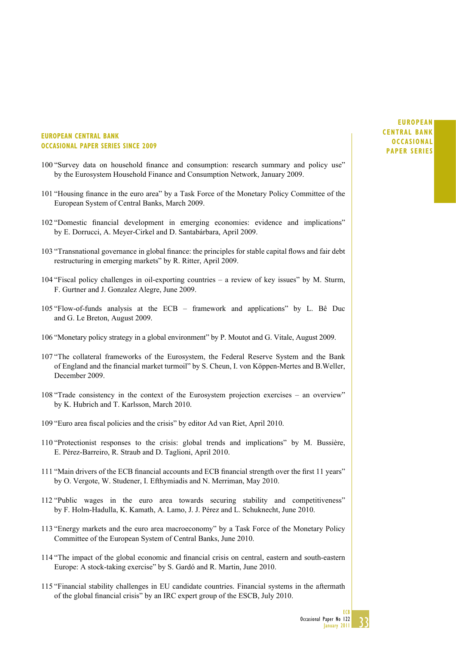#### **EUROPEAN CENTRAL BANK OCCASIONAL PAPER SERIES SINCE 2009**

- 100 "Survey data on household finance and consumption: research summary and policy use" by the Eurosystem Household Finance and Consumption Network, January 2009.
- 101 "Housing finance in the euro area" by a Task Force of the Monetary Policy Committee of the European System of Central Banks, March 2009.
- 102 "Domestic financial development in emerging economies: evidence and implications" by E. Dorrucci, A. Meyer-Cirkel and D. Santabárbara, April 2009.
- 103 "Transnational governance in global finance: the principles for stable capital flows and fair debt restructuring in emerging markets" by R. Ritter, April 2009.
- 104 "Fiscal policy challenges in oil-exporting countries a review of key issues" by M. Sturm, F. Gurtner and J. Gonzalez Alegre, June 2009.
- 105 "Flow-of-funds analysis at the ECB framework and applications" by L. Bê Duc and G. Le Breton, August 2009.
- 106 "Monetary policy strategy in a global environment" by P. Moutot and G. Vitale, August 2009.
- 107 "The collateral frameworks of the Eurosystem, the Federal Reserve System and the Bank of England and the financial market turmoil" by S. Cheun, I. von Köppen-Mertes and B. Weller, December 2009.
- 108 "Trade consistency in the context of the Eurosystem projection exercises an overview" by K. Hubrich and T. Karlsson, March 2010.
- 109 "Euro area fiscal policies and the crisis" by editor Ad van Riet, April 2010.
- 110 "Protectionist responses to the crisis: global trends and implications" by M. Bussière, E. Pérez-Barreiro, R. Straub and D. Taglioni, April 2010.
- 111 "Main drivers of the ECB financial accounts and ECB financial strength over the first 11 years" by O. Vergote, W. Studener, I. Efthymiadis and N. Merriman, May 2010.
- 112 "Public wages in the euro area towards securing stability and competitiveness" by F. Holm-Hadulla, K. Kamath, A. Lamo, J. J. Pérez and L. Schuknecht, June 2010.
- 113 "Energy markets and the euro area macroeconomy" by a Task Force of the Monetary Policy Committee of the European System of Central Banks, June 2010.
- 114 "The impact of the global economic and financial crisis on central, eastern and south-eastern Europe: A stock-taking exercise" by S. Gardó and R. Martin, June 2010.
- 115 "Financial stability challenges in EU candidate countries. Financial systems in the aftermath of the global financial crisis" by an IRC expert group of the ESCB, July 2010.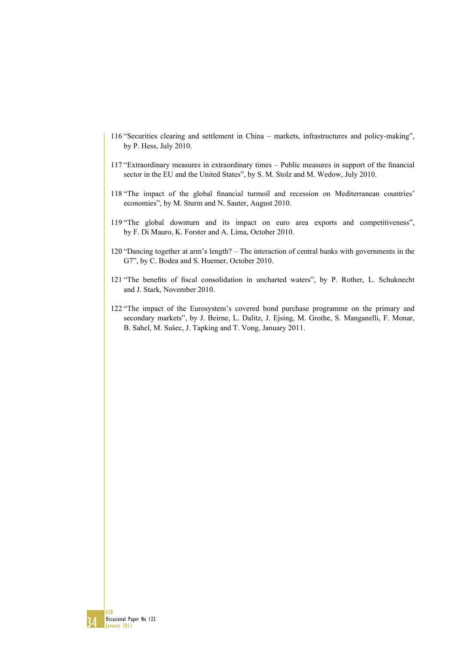- 116 "Securities clearing and settlement in China markets, infrastructures and policy-making", by P. Hess, July 2010.
- 117 "Extraordinary measures in extraordinary times Public measures in support of the financial sector in the EU and the United States", by S. M. Stolz and M. Wedow, July 2010.
- 118 "The impact of the global financial turmoil and recession on Mediterranean countries' economies", by M. Sturm and N. Sauter, August 2010.
- 119 "The global downturn and its impact on euro area exports and competitiveness", by F. Di Mauro, K. Forster and A. Lima, October 2010.
- 120 "Dancing together at arm's length? The interaction of central banks with governments in the G7", by C. Bodea and S. Huemer, October 2010.
- 121 "The benefits of fiscal consolidation in uncharted waters", by P. Rother, L. Schuknecht and J. Stark, November 2010.
- 122 "The impact of the Eurosystem's covered bond purchase programme on the primary and secondary markets", by J. Beirne, L. Dalitz, J. Ejsing, M. Grothe, S. Manganelli, F. Monar, B. Sahel, M. Sušec, J. Tapking and T. Vong, January 2011.